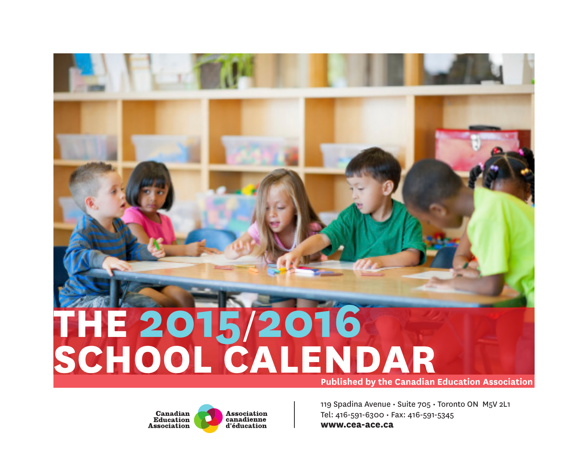# **THE 2015**/**2016 SCHOOL CALENDAR Published by the Canadian Education Association**

Canadian **Association** canadienne **Education Association** d'éducation

[119 Spadina Avenue • Suite 705 • Toronto ON M5V 2L1](http://www.cea-ace.ca) Tel: 416-591-6300 • Fax: 416-591-5345 **www.cea-ace.ca**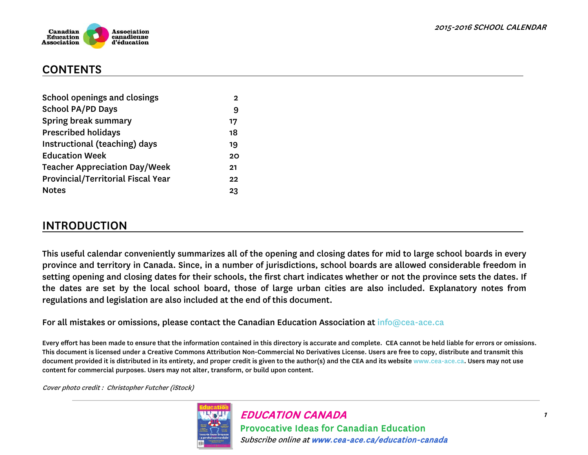



#### **CONTENTS**

| 2  |
|----|
| 9  |
| 17 |
| 18 |
| 19 |
| 20 |
| 21 |
| 22 |
| 23 |
|    |

## INTRODUCTION

This useful calendar conveniently summarizes all of the opening and closing dates for mid to large school boards in every province and territory in Canada. Since, in a number of jurisdictions, school boards are allowed considerable freedom in setting opening and closing dates for their schools, the first chart indicates whether or not the province sets the dates. If the dates are set by the local school board, those of large urban cities are also included. Explanatory notes from regulations and legislation are also included at the end of this document.

For all mistakes or omissions, please contact the Canadian Education Association at info@cea-ace.ca

Every effort has been made to ensure that the information contained in this directory is accurate and complete. CEA cannot be held liable for errors or omissions. This document is licensed under a Creative Commons Attribution Non-Commercial No Derivatives License. Users are free to copy, distribute and transmit this document provided it is distributed in its entirety, and proper credit is given to the author(s) and the CEA and its website www.cea-ace.ca. Users may not use content for commercial purposes. Users may not alter, transform, or build upon content.

Cover photo credit : Christopher Futcher (iStock)

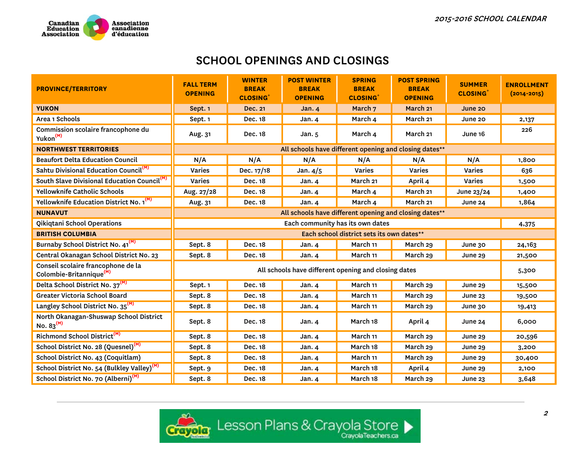

| <b>PROVINCE/TERRITORY</b>                                                 | <b>FALL TERM</b><br><b>OPENING</b> | <b>WINTER</b><br><b>BREAK</b><br><b>CLOSING</b> | <b>POST WINTER</b><br><b>BREAK</b><br><b>OPENING</b>   | <b>SPRING</b><br><b>BREAK</b><br><b>CLOSING</b> | <b>POST SPRING</b><br><b>BREAK</b><br><b>OPENING</b> | <b>SUMMER</b><br><b>CLOSING</b> | <b>ENROLLMENT</b><br>$(2014 - 2015)$ |
|---------------------------------------------------------------------------|------------------------------------|-------------------------------------------------|--------------------------------------------------------|-------------------------------------------------|------------------------------------------------------|---------------------------------|--------------------------------------|
| <b>YUKON</b>                                                              | Sept. 1                            | <b>Dec. 21</b>                                  | Jan.4                                                  | March <sub>7</sub>                              | March <sub>21</sub>                                  | June 20                         |                                      |
| Area 1 Schools                                                            | Sept. 1                            | Dec. 18                                         | Jan. 4                                                 | March 4                                         | March 21                                             | June 20                         | 2,137                                |
| Commission scolaire francophone du<br>Yukon <sup>(M)</sup>                | Aug. 31                            | Dec. 18                                         | Jan. $5$                                               | March 4                                         | March 21                                             | June 16                         | 226                                  |
| <b>NORTHWEST TERRITORIES</b>                                              |                                    |                                                 | All schools have different opening and closing dates** |                                                 |                                                      |                                 |                                      |
| <b>Beaufort Delta Education Council</b>                                   | N/A                                | N/A                                             | N/A                                                    | N/A                                             | N/A                                                  | N/A                             | 1,800                                |
| Sahtu Divisional Education Council <sup>(M)</sup>                         | Varies                             | Dec. 17/18                                      | Jan. $4/5$                                             | <b>Varies</b>                                   | Varies                                               | Varies                          | 636                                  |
| South Slave Divisional Education Council <sup>(M)</sup>                   | <b>Varies</b>                      | Dec. 18                                         | Jan. 4                                                 | March 21                                        | April 4                                              | <b>Varies</b>                   | 1,500                                |
| Yellowknife Catholic Schools                                              | Aug. 27/28                         | Dec. 18                                         | Jan. 4                                                 | March 4                                         | March <sub>21</sub>                                  | June $23/24$                    | 1,400                                |
| Yellowknife Education District No. 1 <sup>(M)</sup>                       | Aug. 31                            | Dec. 18                                         | Jan. 4                                                 | March 4                                         | March 21                                             | June 24                         | 1,864                                |
| <b>NUNAVUT</b>                                                            |                                    |                                                 | All schools have different opening and closing dates** |                                                 |                                                      |                                 |                                      |
| Qikiqtani School Operations                                               |                                    |                                                 | Each community has its own dates                       |                                                 |                                                      |                                 | 4,375                                |
| <b>BRITISH COLUMBIA</b>                                                   |                                    |                                                 |                                                        | Each school district sets its own dates**       |                                                      |                                 |                                      |
|                                                                           |                                    |                                                 |                                                        |                                                 |                                                      |                                 |                                      |
| Burnaby School District No. 41 <sup>(M)</sup>                             | Sept. 8                            | Dec. 18                                         | Jan. 4                                                 | March 11                                        | March 29                                             | June 30                         | 24,163                               |
| Central Okanagan School District No. 23                                   | Sept. 8                            | Dec. 18                                         | <b>Jan. 4</b>                                          | March 11                                        | March 29                                             | June 29                         | 21,500                               |
| Conseil scolaire francophone de la<br>Colombie-Britannique <sup>(M)</sup> |                                    |                                                 | All schools have different opening and closing dates   |                                                 |                                                      |                                 | 5,300                                |
| Delta School District No. 37 <sup>(M)</sup>                               | Sept. 1                            | Dec. 18                                         | Jan. 4                                                 | March 11                                        | March 29                                             | <b>June 29</b>                  | 15,500                               |
| Greater Victoria School Board                                             | Sept. 8                            | Dec. 18                                         | Jan. 4                                                 | March 11                                        | March 29                                             | <b>June 23</b>                  | 19,500                               |
| Langley School District No. 35 <sup>(M)</sup>                             | Sept. 8                            | Dec. 18                                         | Jan. 4                                                 | March 11                                        | March 29                                             | June 30                         | 19,413                               |
| North Okanagan-Shuswap School District<br>No. $83^{(M)}$                  | Sept. 8                            | Dec. 18                                         | Jan. $4$                                               | March 18                                        | April 4                                              | <b>June 24</b>                  | 6,000                                |
| Richmond School District <sup>(M)</sup>                                   | Sept. 8                            | Dec. 18                                         | Jan. 4                                                 | March 11                                        | March 29                                             | June 29                         | 20,596                               |
| School District No. 28 (Quesnel) <sup>(M)</sup>                           | Sept. 8                            | Dec. 18                                         | Jan. 4                                                 | March 18                                        | March 29                                             | June 29                         | 3,200                                |
| School District No. 43 (Coquitlam)                                        | Sept. 8                            | Dec. 18                                         | Jan. 4                                                 | March 11                                        | March 29                                             | June 29                         | 30,400                               |
| School District No. 54 (Bulkley Valley) <sup>(M)</sup>                    | Sept. 9                            | Dec. 18                                         | Jan. 4                                                 | March 18                                        | April 4                                              | <b>June 29</b>                  | 2,100                                |

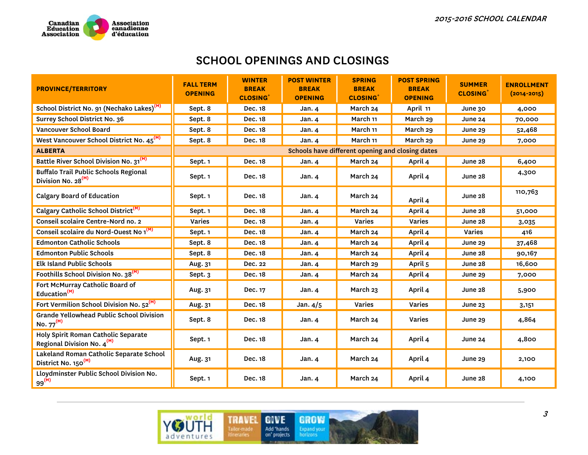

| <b>PROVINCE/TERRITORY</b>                                                      | <b>FALL TERM</b><br><b>OPENING</b> | <b>WINTER</b><br><b>BREAK</b><br><b>CLOSING</b> | <b>POST WINTER</b><br><b>BREAK</b><br><b>OPENING</b> | <b>SPRING</b><br><b>BREAK</b><br><b>CLOSING</b>  | <b>POST SPRING</b><br><b>BREAK</b><br><b>OPENING</b> | <b>SUMMER</b><br><b>CLOSING</b> <sup>+</sup> | <b>ENROLLMENT</b><br>$(2014 - 2015)$ |
|--------------------------------------------------------------------------------|------------------------------------|-------------------------------------------------|------------------------------------------------------|--------------------------------------------------|------------------------------------------------------|----------------------------------------------|--------------------------------------|
| School District No. 91 (Nechako Lakes) <sup>(M)</sup>                          | Sept. 8                            | Dec. 18                                         | Jan. 4                                               | March 24                                         | April 11                                             | June 30                                      | 4,000                                |
| Surrey School District No. 36                                                  | Sept. 8                            | Dec. 18                                         | Jan. 4                                               | March 11                                         | March 29                                             | June 24                                      | 70,000                               |
| Vancouver School Board                                                         | Sept. 8                            | Dec. 18                                         | Jan. $4$                                             | March 11                                         | March 29                                             | June 29                                      | 52,468                               |
| West Vancouver School District No. 45 <sup>(M)</sup>                           | Sept. 8                            | Dec. 18                                         | Jan.4                                                | March 11                                         | March 29                                             | June 29                                      | 7,000                                |
| <b>ALBERTA</b>                                                                 |                                    |                                                 |                                                      | Schools have different opening and closing dates |                                                      |                                              |                                      |
| Battle River School Division No. 31 <sup>(M)</sup>                             | Sept. 1                            | Dec. 18                                         | Jan. 4                                               | March 24                                         | April 4                                              | June 28                                      | 6,400                                |
| <b>Buffalo Trail Public Schools Regional</b><br>Division No. 28 <sup>(M)</sup> | Sept. 1                            | Dec. 18                                         | Jan. $4$                                             | March 24                                         | April 4                                              | June 28                                      | 4,300                                |
| <b>Calgary Board of Education</b>                                              | Sept. 1                            | Dec. 18                                         | Jan. 4                                               | March 24                                         | April 4                                              | June 28                                      | 110,763                              |
| Calgary Catholic School District <sup>(M)</sup>                                | Sept. 1                            | Dec. 18                                         | Jan. $4$                                             | March 24                                         | April 4                                              | June 28                                      | 51,000                               |
| Conseil scolaire Centre-Nord no. 2                                             | Varies                             | Dec. 18                                         | Jan. 4                                               | Varies                                           | Varies                                               | June 28                                      | 3,035                                |
| Conseil scolaire du Nord-Ouest No 1 <sup>(M)</sup>                             | Sept. 1                            | Dec. 18                                         | Jan.4                                                | March 24                                         | April 4                                              | <b>Varies</b>                                | 416                                  |
| <b>Edmonton Catholic Schools</b>                                               | Sept. 8                            | Dec. 18                                         | Jan. 4                                               | March 24                                         | April 4                                              | June 29                                      | 37,468                               |
| <b>Edmonton Public Schools</b>                                                 | Sept. 8                            | Dec. 18                                         | Jan.4                                                | March 24                                         | April 4                                              | June 28                                      | 90,167                               |
| <b>Elk Island Public Schools</b>                                               | Aug. 31                            | Dec. 22                                         | Jan.4                                                | March 29                                         | April 5                                              | June 28                                      | 16,600                               |
| Foothills School Division No. 38 <sup>(M)</sup>                                | Sept. 3                            | Dec. 18                                         | Jan.4                                                | March 24                                         | April 4                                              | June 29                                      | 7,000                                |
| Fort McMurray Catholic Board of<br>Education <sup>(M)</sup>                    | Aug. 31                            | Dec. 17                                         | Jan. 4                                               | March 23                                         | April 4                                              | June 28                                      | 5,900                                |
| Fort Vermilion School Division No. 52 <sup>(M)</sup>                           | Aug. 31                            | Dec. 18                                         | Jan. $4/5$                                           | Varies                                           | Varies                                               | June $23$                                    | 3,151                                |
| <b>Grande Yellowhead Public School Division</b><br>No. $77^{(M)}$              | Sept. 8                            | Dec. 18                                         | Jan.4                                                | March 24                                         | <b>Varies</b>                                        | <b>June 29</b>                               | 4,864                                |
| Holy Spirit Roman Catholic Separate<br>Regional Division No. 4 <sup>(M)</sup>  | Sept. 1                            | Dec. 18                                         | Jan. 4                                               | March 24                                         | April 4                                              | June 24                                      | 4,800                                |
| Lakeland Roman Catholic Separate School<br>District No. 150 <sup>(M)</sup>     | Aug. 31                            | Dec. 18                                         | Jan. 4                                               | March 24                                         | April 4                                              | June 29                                      | 2,100                                |
| Lloydminster Public School Division No.<br>$99^{(M)}$                          | Sept. 1                            | Dec. 18                                         | Jan. $4$                                             | March 24                                         | April 4                                              | June 28                                      | 4,100                                |

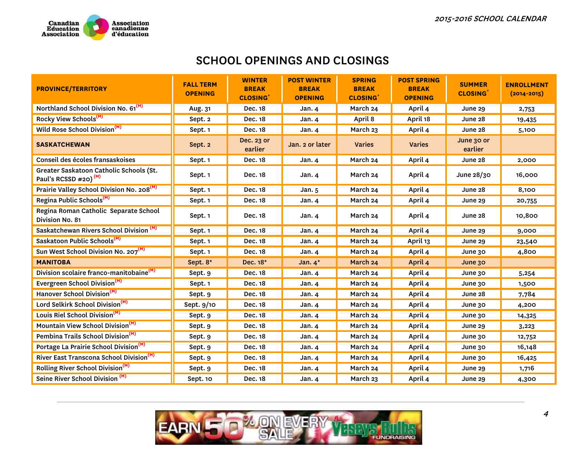

| <b>PROVINCE/TERRITORY</b>                                                   | <b>FALL TERM</b><br><b>OPENING</b> | <b>WINTER</b><br><b>BREAK</b><br><b>CLOSING</b> | <b>POST WINTER</b><br><b>BREAK</b><br><b>OPENING</b> | <b>SPRING</b><br><b>BREAK</b><br><b>CLOSING</b> | <b>POST SPRING</b><br><b>BREAK</b><br><b>OPENING</b> | <b>SUMMER</b><br><b>CLOSING</b> | <b>ENROLLMENT</b><br>$(2014 - 2015)$ |
|-----------------------------------------------------------------------------|------------------------------------|-------------------------------------------------|------------------------------------------------------|-------------------------------------------------|------------------------------------------------------|---------------------------------|--------------------------------------|
| Northland School Division No. 61 <sup>(M)</sup>                             | Aug. 31                            | Dec. 18                                         | Jan. 4                                               | March 24                                        | April 4                                              | June 29                         | 2,753                                |
| Rocky View Schools <sup>(M)</sup>                                           | Sept. 2                            | Dec. 18                                         | Jan. 4                                               | April 8                                         | April 18                                             | June 28                         | 19,435                               |
| Wild Rose School Division <sup>(M)</sup>                                    | Sept. 1                            | Dec. 18                                         | Jan. 4                                               | March 23                                        | April 4                                              | June 28                         | 5,100                                |
| <b>SASKATCHEWAN</b>                                                         | Sept. 2                            | Dec. 23 or<br>earlier                           | Jan. 2 or later                                      | <b>Varies</b>                                   | <b>Varies</b>                                        | June 30 or<br>earlier           |                                      |
| Conseil des écoles fransaskoises                                            | Sept. 1                            | Dec. 18                                         | Jan. 4                                               | March 24                                        | April 4                                              | June 28                         | 2,000                                |
| Greater Saskatoon Catholic Schools (St.<br>Paul's RCSSD #20) <sup>(M)</sup> | Sept. 1                            | Dec. 18                                         | Jan. $4$                                             | March 24                                        | April 4                                              | June 28/30                      | 16,000                               |
| Prairie Valley School Division No. 208 <sup>(M)</sup>                       | Sept. 1                            | Dec. 18                                         | Jan. 5                                               | March 24                                        | April 4                                              | June 28                         | 8,100                                |
| Regina Public Schools <sup>(M)</sup>                                        | Sept. 1                            | Dec. 18                                         | Jan. 4                                               | March 24                                        | April 4                                              | June 29                         | 20,755                               |
| Regina Roman Catholic Separate School<br>Division No. 81                    | Sept. 1                            | Dec. 18                                         | Jan. 4                                               | March 24                                        | April 4                                              | June 28                         | 10,800                               |
| Saskatchewan Rivers School Division <sup>(M)</sup>                          | Sept. 1                            | Dec. 18                                         | Jan. 4                                               | March 24                                        | April 4                                              | June 29                         | 9,000                                |
| Saskatoon Public Schools <sup>(M)</sup>                                     | Sept. 1                            | Dec. 18                                         | Jan. 4                                               | March 24                                        | April 13                                             | June 29                         | 23,540                               |
| Sun West School Division No. 207 <sup>(M)</sup>                             | Sept. 1                            | Dec. 18                                         | Jan. 4                                               | March 24                                        | April 4                                              | June 30                         | 4,800                                |
| <b>MANITOBA</b>                                                             | Sept. 8*                           | Dec. 18*                                        | Jan. $4^*$                                           | March 24                                        | April 4                                              | June 30                         |                                      |
| Division scolaire franco-manitobaine <sup>(M)</sup>                         | Sept. 9                            | Dec. 18                                         | Jan. 4                                               | March 24                                        | April 4                                              | June 30                         | 5,254                                |
| Evergreen School Division <sup>(M)</sup>                                    | Sept. 1                            | Dec. 18                                         | Jan. 4                                               | March 24                                        | April 4                                              | June 30                         | 1,500                                |
| Hanover School Division <sup>(M)</sup>                                      | Sept. 9                            | Dec. 18                                         | Jan. 4                                               | March 24                                        | April 4                                              | June 28                         | 7,784                                |
| Lord Selkirk School Division <sup>(M)</sup>                                 | Sept. 9/10                         | Dec. 18                                         | Jan. 4                                               | March 24                                        | April 4                                              | June 30                         | 4,200                                |
| Louis Riel School Division <sup>(M)</sup>                                   | Sept. 9                            | Dec. 18                                         | Jan. 4                                               | March 24                                        | April 4                                              | June 30                         | 14,325                               |
| Mountain View School Division <sup>(M)</sup>                                | Sept. 9                            | Dec. 18                                         | Jan. $4$                                             | March 24                                        | April 4                                              | June 29                         | 3,223                                |
| Pembina Trails School Division <sup>(M)</sup>                               | Sept. 9                            | Dec. 18                                         | Jan. 4                                               | March 24                                        | April 4                                              | June 30                         | 12,752                               |
| Portage La Prairie School Division <sup>(M)</sup>                           | Sept. 9                            | Dec. 18                                         | Jan. 4                                               | March 24                                        | April 4                                              | June 30                         | 16,148                               |
| River East Transcona School Division <sup>(M)</sup>                         | Sept. 9                            | Dec. 18                                         | Jan. 4                                               | March 24                                        | April 4                                              | June 30                         | 16,425                               |
| Rolling River School Division <sup>(M)</sup>                                | Sept. 9                            | Dec. 18                                         | Jan. 4                                               | March 24                                        | April 4                                              | <b>June 29</b>                  | 1,716                                |
| Seine River School Division <sup>(M)</sup>                                  | Sept. 10                           | Dec. 18                                         | <b>Jan. 4</b>                                        | March 23                                        | April 4                                              | June 29                         | 4,300                                |

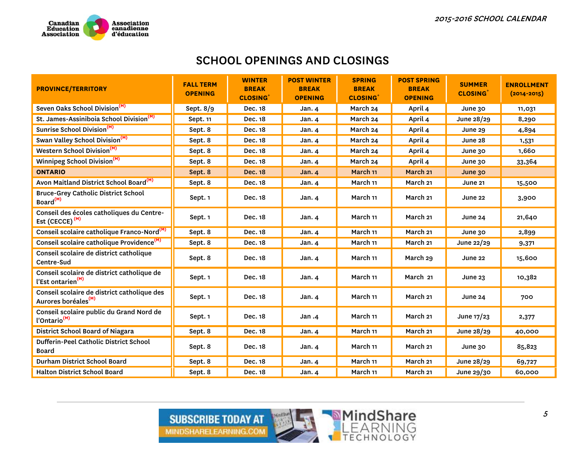

| <b>PROVINCE/TERRITORY</b>                                                      | <b>FALL TERM</b><br><b>OPENING</b> | <b>WINTER</b><br><b>BREAK</b><br><b>CLOSING</b> | <b>POST WINTER</b><br><b>BREAK</b><br><b>OPENING</b> | <b>SPRING</b><br><b>BREAK</b><br><b>CLOSING</b> | <b>POST SPRING</b><br><b>BREAK</b><br><b>OPENING</b> | <b>SUMMER</b><br><b>CLOSING</b> | <b>ENROLLMENT</b><br>$(2014 - 2015)$ |
|--------------------------------------------------------------------------------|------------------------------------|-------------------------------------------------|------------------------------------------------------|-------------------------------------------------|------------------------------------------------------|---------------------------------|--------------------------------------|
| Seven Oaks School Division <sup>(M)</sup>                                      | Sept. 8/9                          | Dec. 18                                         | Jan. 4                                               | March 24                                        | April 4                                              | June 30                         | 11,031                               |
| St. James-Assiniboia School Division <sup>(M)</sup>                            | Sept. 11                           | Dec. 18                                         | Jan. 4                                               | March 24                                        | April 4                                              | June 28/29                      | 8,290                                |
| Sunrise School Division <sup>(M)</sup>                                         | Sept. 8                            | Dec. 18                                         | Jan. 4                                               | March 24                                        | April 4                                              | <b>June 29</b>                  | 4,894                                |
| Swan Valley School Division <sup>(M)</sup>                                     | Sept. 8                            | Dec. 18                                         | Jan. 4                                               | March 24                                        | April 4                                              | June 28                         | 1,531                                |
| <b>Western School Division</b> <sup>(M)</sup>                                  | Sept. 8                            | Dec. 18                                         | Jan. 4                                               | March 24                                        | April 4                                              | June 30                         | 1,660                                |
| Winnipeg School Division <sup>(M)</sup>                                        | Sept. 8                            | Dec. 18                                         | Jan. 4                                               | March 24                                        | April 4                                              | June 30                         | 33,364                               |
| <b>ONTARIO</b>                                                                 | Sept. 8                            | <b>Dec. 18</b>                                  | Jan. 4                                               | March 11                                        | March <sub>21</sub>                                  | June 30                         |                                      |
| Avon Maitland District School Board <sup>(M)</sup>                             | Sept. 8                            | Dec. 18                                         | Jan. 4                                               | March 11                                        | March 21                                             | June 21                         | 15,500                               |
| <b>Bruce-Grey Catholic District School</b><br>Board <sup>(M)</sup>             | Sept. 1                            | Dec. 18                                         | Jan. 4                                               | March 11                                        | March 21                                             | June 22                         | 3,900                                |
| Conseil des écoles catholiques du Centre-<br>Est (CECCE) <sup>(M)</sup>        | Sept. 1                            | Dec. 18                                         | Jan. 4                                               | March 11                                        | March 21                                             | June 24                         | 21,640                               |
| Conseil scolaire catholique Franco-Nord <sup>(M)</sup>                         | Sept. 8                            | Dec. 18                                         | Jan. 4                                               | March 11                                        | March 21                                             | June 30                         | 2,899                                |
| Conseil scolaire catholique Providence <sup>(M)</sup>                          | Sept. 8                            | Dec. 18                                         | Jan. 4                                               | March 11                                        | March 21                                             | June 22/29                      | 9,371                                |
| Conseil scolaire de district catholique<br>Centre-Sud                          | Sept. 8                            | Dec. 18                                         | Jan. 4                                               | March 11                                        | March 29                                             | June 22                         | 15,600                               |
| Conseil scolaire de district catholique de<br>l'Est ontarien <sup>(M)</sup>    | Sept. 1                            | Dec. 18                                         | Jan. 4                                               | March 11                                        | March 21                                             | June $23$                       | 10,382                               |
| Conseil scolaire de district catholique des<br>Aurores boréales <sup>(M)</sup> | Sept. 1                            | Dec. 18                                         | Jan. 4                                               | March 11                                        | March 21                                             | June 24                         | 700                                  |
| Conseil scolaire public du Grand Nord de<br>l'Ontario <sup>(M)</sup>           | Sept. 1                            | Dec. 18                                         | Jan.4                                                | March 11                                        | March 21                                             | June $17/23$                    | 2,377                                |
| District School Board of Niagara                                               | Sept. 8                            | Dec. 18                                         | Jan. 4                                               | March 11                                        | March 21                                             | June 28/29                      | 40,000                               |
| Dufferin-Peel Catholic District School<br><b>Board</b>                         | Sept. 8                            | Dec. 18                                         | Jan.4                                                | March 11                                        | March 21                                             | June 30                         | 85,823                               |
| Durham District School Board                                                   | Sept. 8                            | Dec. 18                                         | Jan. 4                                               | March 11                                        | March 21                                             | June 28/29                      | 69,727                               |
| <b>Halton District School Board</b>                                            | Sept. 8                            | Dec. 18                                         | Jan. 4                                               | March 11                                        | March 21                                             | June 29/30                      | 60,000                               |

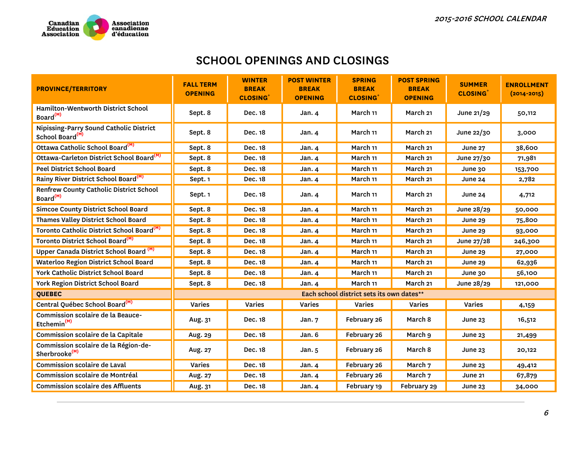

| <b>PROVINCE/TERRITORY</b>                                              | <b>FALL TERM</b><br><b>OPENING</b> | <b>WINTER</b><br><b>BREAK</b><br><b>CLOSING</b> | <b>POST WINTER</b><br><b>BREAK</b><br><b>OPENING</b> | <b>SPRING</b><br><b>BREAK</b><br><b>CLOSING</b> | <b>POST SPRING</b><br><b>BREAK</b><br><b>OPENING</b> | <b>SUMMER</b><br><b>CLOSING</b> <sup>+</sup> | <b>ENROLLMENT</b><br>$(2014 - 2015)$ |
|------------------------------------------------------------------------|------------------------------------|-------------------------------------------------|------------------------------------------------------|-------------------------------------------------|------------------------------------------------------|----------------------------------------------|--------------------------------------|
| Hamilton-Wentworth District School<br>Board <sup>(M)</sup>             | Sept. 8                            | Dec. 18                                         | Jan.4                                                | March 11                                        | March 21                                             | June 21/29                                   | 50,112                               |
| Nipissing-Parry Sound Catholic District<br>School Board <sup>(M)</sup> | Sept. 8                            | Dec. 18                                         | Jan. 4                                               | March 11                                        | March 21                                             | June $22/30$                                 | 3,000                                |
| Ottawa Catholic School Board <sup>(M)</sup>                            | Sept. 8                            | Dec. 18                                         | Jan. 4                                               | March 11                                        | March 21                                             | <b>June 27</b>                               | 38,600                               |
| Ottawa-Carleton District School Board <sup>(M)</sup>                   | Sept. 8                            | Dec. 18                                         | Jan. 4                                               | March 11                                        | March 21                                             | June 27/30                                   | 71,981                               |
| <b>Peel District School Board</b>                                      | Sept. 8                            | Dec. 18                                         | <b>Jan. 4</b>                                        | March 11                                        | March 21                                             | June 30                                      | 153,700                              |
| Rainy River District School Board <sup>(M)</sup>                       | Sept. 1                            | Dec. 18                                         | Jan. 4                                               | March 11                                        | March 21                                             | June 24                                      | 2,782                                |
| Renfrew County Catholic District School<br>Board <sup>(M)</sup>        | Sept. 1                            | Dec. 18                                         | Jan.4                                                | March 11                                        | March 21                                             | June 24                                      | 4,712                                |
| <b>Simcoe County District School Board</b>                             | Sept. 8                            | Dec. 18                                         | Jan. 4                                               | March 11                                        | March 21                                             | June 28/29                                   | 50,000                               |
| Thames Valley District School Board                                    | Sept. 8                            | Dec. 18                                         | Jan. 4                                               | March 11                                        | March 21                                             | June 29                                      | 75,800                               |
| Toronto Catholic District School Board <sup>(M)</sup>                  | Sept. 8                            | Dec. 18                                         | Jan. 4                                               | March 11                                        | March <sub>21</sub>                                  | June 29                                      | 93,000                               |
| Toronto District School Board <sup>(M)</sup>                           | Sept. 8                            | Dec. 18                                         | Jan. 4                                               | March 11                                        | March <sub>21</sub>                                  | June 27/28                                   | 246,300                              |
| Upper Canada District School Board <sup>(M)</sup>                      | Sept. 8                            | Dec. 18                                         | Jan. $4$                                             | March 11                                        | March 21                                             | June 29                                      | 27,000                               |
| <b>Waterloo Region District School Board</b>                           | Sept. 8                            | Dec. 18                                         | Jan. $4$                                             | March 11                                        | March <sub>21</sub>                                  | June 29                                      | 62,936                               |
| York Catholic District School Board                                    | Sept. 8                            | Dec. 18                                         | Jan. 4                                               | March 11                                        | March 21                                             | June 30                                      | 56,100                               |
| York Region District School Board                                      | Sept. 8                            | Dec. 18                                         | Jan. 4                                               | March 11                                        | March 21                                             | June 28/29                                   | 121,000                              |
| <b>QUEBEC</b>                                                          |                                    |                                                 |                                                      | Each school district sets its own dates**       |                                                      |                                              |                                      |
| Central Québec School Board <sup>(M)</sup>                             | Varies                             | <b>Varies</b>                                   | Varies                                               | Varies                                          | Varies                                               | Varies                                       | 4,159                                |
| Commission scolaire de la Beauce-<br>Etchemin <sup>(M)</sup>           | Aug. 31                            | Dec. 18                                         | Jan.7                                                | February 26                                     | March 8                                              | June $23$                                    | 16,512                               |
| Commission scolaire de la Capitale                                     | Aug. 29                            | Dec. 18                                         | Jan. 6                                               | February 26                                     | March 9                                              | <b>June 23</b>                               | 21,499                               |
| Commission scolaire de la Région-de-<br>Sherbrooke <sup>(M)</sup>      | Aug. 27                            | Dec. 18                                         | Jan.5                                                | February 26                                     | March 8                                              | June $23$                                    | 20,122                               |
| Commission scolaire de Laval                                           | Varies                             | Dec. 18                                         | Jan. 4                                               | February 26                                     | March 7                                              | June 23                                      | 49,412                               |
| Commission scolaire de Montréal                                        | Aug. 27                            | Dec. 18                                         | Jan. 4                                               | February 26                                     | March <sub>7</sub>                                   | <b>June 21</b>                               | 67,879                               |
| <b>Commission scolaire des Affluents</b>                               | Aug. 31                            | Dec. 18                                         | Jan.4                                                | February 19                                     | February 29                                          | June 23                                      | 34,000                               |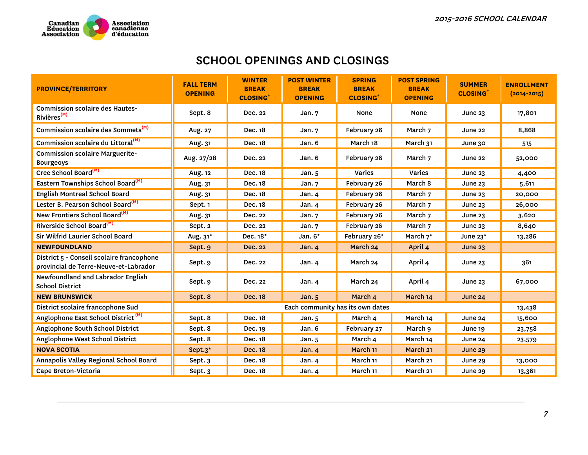

| <b>PROVINCE/TERRITORY</b>                                                          | <b>FALL TERM</b><br><b>OPENING</b> | <b>WINTER</b><br><b>BREAK</b><br><b>CLOSING</b> | <b>POST WINTER</b><br><b>BREAK</b><br><b>OPENING</b> | <b>SPRING</b><br><b>BREAK</b><br><b>CLOSING</b> <sup>+</sup> | <b>POST SPRING</b><br><b>BREAK</b><br><b>OPENING</b> | <b>SUMMER</b><br><b>CLOSING</b> | <b>ENROLLMENT</b><br>$(2014 - 2015)$ |
|------------------------------------------------------------------------------------|------------------------------------|-------------------------------------------------|------------------------------------------------------|--------------------------------------------------------------|------------------------------------------------------|---------------------------------|--------------------------------------|
| <b>Commission scolaire des Hautes-</b><br>Rivières <sup>(M)</sup>                  | Sept. 8                            | Dec. 22                                         | Jan.7                                                | None                                                         | None                                                 | <b>June 23</b>                  | 17,801                               |
| Commission scolaire des Sommets <sup>(M)</sup>                                     | Aug. 27                            | Dec. 18                                         | Jan.7                                                | February 26                                                  | March 7                                              | June 22                         | 8,868                                |
| Commission scolaire du Littoral <sup>(M)</sup>                                     | Aug. 31                            | Dec. 18                                         | Jan. 6                                               | March 18                                                     | March 31                                             | June 30                         | 515                                  |
| <b>Commission scolaire Marguerite-</b><br><b>Bourgeoys</b>                         | Aug. 27/28                         | Dec. 22                                         | Jan. 6                                               | February 26                                                  | March 7                                              | June 22                         | 52,000                               |
| Cree School Board <sup>(M)</sup>                                                   | Aug. 12                            | Dec. 18                                         | Jan. 5                                               | Varies                                                       | Varies                                               | <b>June 23</b>                  | 4,400                                |
| Eastern Townships School Board <sup>(M)</sup>                                      | Aug. 31                            | Dec. 18                                         | Jan.7                                                | February 26                                                  | March 8                                              | June $23$                       | 5,611                                |
| <b>English Montreal School Board</b>                                               | Aug. 31                            | Dec. 18                                         | Jan.4                                                | February 26                                                  | March 7                                              | June 23                         | 20,000                               |
| Lester B. Pearson School Board <sup>(M)</sup>                                      | Sept. 1                            | Dec. 18                                         | Jan. 4                                               | February 26                                                  | March 7                                              | June $23$                       | 26,000                               |
| New Frontiers School Board <sup>(M)</sup>                                          | Aug. 31                            | Dec. 22                                         | Jan.7                                                | February 26                                                  | March 7                                              | <b>June 23</b>                  | 3,620                                |
| Riverside School Board <sup>(M)</sup>                                              | Sept. 2                            | Dec. 22                                         | Jan. 7                                               | February 26                                                  | March 7                                              | June $23$                       | 8,640                                |
| Sir Wilfrid Laurier School Board                                                   | Aug. 31*                           | Dec. 18*                                        | Jan. 6*                                              | February 26*                                                 | March 7*                                             | June 23*                        | 13,286                               |
| <b>NEWFOUNDLAND</b>                                                                | Sept. 9                            | <b>Dec. 22</b>                                  | <b>Jan. 4</b>                                        | March 24                                                     | April 4                                              | June $23$                       |                                      |
| District 5 - Conseil scolaire francophone<br>provincial de Terre-Neuve-et-Labrador | Sept. 9                            | Dec. 22                                         | Jan. $4$                                             | March 24                                                     | April 4                                              | June $23$                       | 361                                  |
| Newfoundland and Labrador English<br><b>School District</b>                        | Sept. 9                            | Dec. 22                                         | Jan. 4                                               | March 24                                                     | April 4                                              | June $23$                       | 67,000                               |
| <b>NEW BRUNSWICK</b>                                                               | Sept. 8                            | <b>Dec. 18</b>                                  | <b>Jan. 5</b>                                        | March 4                                                      | March 14                                             | <b>June 24</b>                  |                                      |
| District scolaire francophone Sud                                                  |                                    |                                                 | Each community has its own dates                     |                                                              |                                                      |                                 | 13,438                               |
| Anglophone East School District <sup>(M)</sup>                                     | Sept. 8                            | Dec. 18                                         | Jan.5                                                | March 4                                                      | March 14                                             | June 24                         | 15,600                               |
| Anglophone South School District                                                   | Sept. 8                            | Dec. 19                                         | Jan. 6                                               | February 27                                                  | March 9                                              | June 19                         | 23,758                               |
| Anglophone West School District                                                    | Sept. 8                            | Dec. 18                                         | Jan.5                                                | March 4                                                      | March 14                                             | June 24                         | 23,579                               |
| <b>NOVA SCOTIA</b>                                                                 | Sept.3*                            | <b>Dec. 18</b>                                  | Jan.4                                                | March 11                                                     | March 21                                             | June 29                         |                                      |
| Annapolis Valley Regional School Board                                             | Sept. 3                            | Dec. 18                                         | Jan. 4                                               | March 11                                                     | March <sub>21</sub>                                  | June 29                         | 13,000                               |
| Cape Breton-Victoria                                                               | Sept. 3                            | Dec. 18                                         | Jan. $4$                                             | March 11                                                     | March 21                                             | June 29                         | 13,361                               |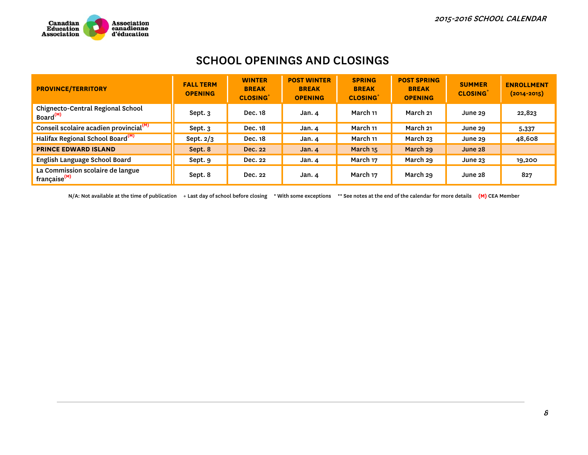

| <b>PROVINCE/TERRITORY</b>                                                 | <b>FALL TERM</b><br><b>OPENING</b> | <b>WINTER</b><br><b>BREAK</b><br><b>CLOSING</b> <sup>+</sup> | <b>POST WINTER</b><br><b>BREAK</b><br><b>OPENING</b> | <b>SPRING</b><br><b>BREAK</b><br><b>CLOSING</b> | <b>POST SPRING</b><br><b>BREAK</b><br><b>OPENING</b> | <b>SUMMER</b><br><b>CLOSING</b> | <b>ENROLLMENT</b><br>$(2014 - 2015)$ |
|---------------------------------------------------------------------------|------------------------------------|--------------------------------------------------------------|------------------------------------------------------|-------------------------------------------------|------------------------------------------------------|---------------------------------|--------------------------------------|
| Chignecto-Central Regional School<br>Board <sup>(M)</sup>                 | Sept. 3                            | Dec. 18                                                      | Jan. 4                                               | March 11                                        | March 21                                             | June 29                         | 22,823                               |
| Conseil scolaire acadien provincial <sup>(M)</sup>                        | Sept. 3                            | Dec. 18                                                      | Jan. 4                                               | March 11                                        | March 21                                             | June 29                         | 5,337                                |
| Halifax Regional School Board <sup>(M)</sup>                              | Sept. $2/3$                        | <b>Dec. 18</b>                                               | Jan. 4                                               | March 11                                        | March 23                                             | June 29                         | 48,608                               |
| <b>PRINCE EDWARD ISLAND</b>                                               | Sept. 8                            | Dec. 22                                                      | Jan.4                                                | March 15                                        | March 29                                             | June 28                         |                                      |
| English Language School Board                                             | Sept. 9                            | Dec. 22                                                      | Jan. 4                                               | March 17                                        | March 29                                             | June $23$                       | 19,200                               |
| La Commission scolaire de langue<br><sup>'</sup> française <sup>(M)</sup> | Sept. 8                            | Dec. 22                                                      | Jan. 4                                               | March 17                                        | March 29                                             | June 28                         | 827                                  |

N/A: Not available at the time of publication + Last day of school before closing \* With some exceptions \*\* See notes at the end of the calendar for more details **(M)** CEA Member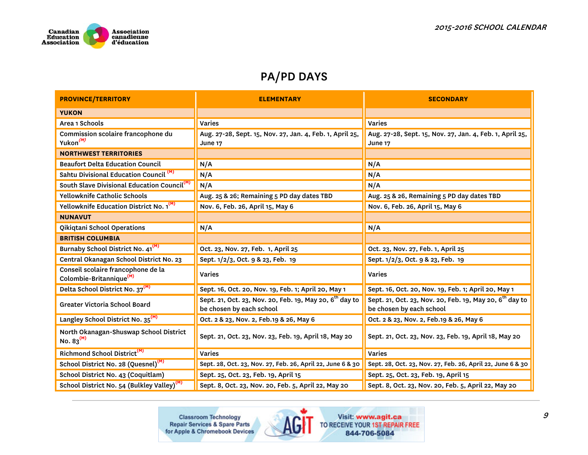

| <b>PROVINCE/TERRITORY</b>                                                 | <b>ELEMENTARY</b>                                                                        | <b>SECONDARY</b>                                                                                |
|---------------------------------------------------------------------------|------------------------------------------------------------------------------------------|-------------------------------------------------------------------------------------------------|
| <b>YUKON</b>                                                              |                                                                                          |                                                                                                 |
| Area 1 Schools                                                            | Varies                                                                                   | Varies                                                                                          |
| Commission scolaire francophone du<br>Yukon <sup>(M)</sup>                | Aug. 27-28, Sept. 15, Nov. 27, Jan. 4, Feb. 1, April 25,<br><b>June 17</b>               | Aug. 27-28, Sept. 15, Nov. 27, Jan. 4, Feb. 1, April 25,<br><b>June 17</b>                      |
| <b>NORTHWEST TERRITORIES</b>                                              |                                                                                          |                                                                                                 |
| <b>Beaufort Delta Education Council</b>                                   | N/A                                                                                      | N/A                                                                                             |
| Sahtu Divisional Education Council <sup>(M)</sup>                         | N/A                                                                                      | N/A                                                                                             |
| South Slave Divisional Education Council <sup>(M)</sup>                   | N/A                                                                                      | N/A                                                                                             |
| <b>Yellowknife Catholic Schools</b>                                       | Aug. 25 & 26; Remaining 5 PD day dates TBD                                               | Aug. 25 & 26, Remaining 5 PD day dates TBD                                                      |
| Yellowknife Education District No. 1 <sup>(M)</sup>                       | Nov. 6, Feb. 26, April 15, May 6                                                         | Nov. 6, Feb. 26, April 15, May 6                                                                |
| <b>NUNAVUT</b>                                                            |                                                                                          |                                                                                                 |
| Qikiqtani School Operations                                               | N/A                                                                                      | N/A                                                                                             |
| <b>BRITISH COLUMBIA</b>                                                   |                                                                                          |                                                                                                 |
| Burnaby School District No. 41 <sup>(M)</sup>                             | Oct. 23, Nov. 27, Feb. 1, April 25                                                       | Oct. 23, Nov. 27, Feb. 1, April 25                                                              |
| Central Okanagan School District No. 23                                   | Sept. 1/2/3, Oct. 9 & 23, Feb. 19                                                        | Sept. 1/2/3, Oct. 9 & 23, Feb. 19                                                               |
| Conseil scolaire francophone de la<br>Colombie-Britannique <sup>(M)</sup> | <b>Varies</b>                                                                            | <b>Varies</b>                                                                                   |
| Delta School District No. 37 <sup>(M)</sup>                               | Sept. 16, Oct. 20, Nov. 19, Feb. 1; April 20, May 1                                      | Sept. 16, Oct. 20, Nov. 19, Feb. 1; April 20, May 1                                             |
| <b>Greater Victoria School Board</b>                                      | Sept. 21, Oct. 23, Nov. 20, Feb. 19, May 20, $6^{th}$ day to<br>be chosen by each school | Sept. 21, Oct. 23, Nov. 20, Feb. 19, May 20, 6 <sup>th</sup> day to<br>be chosen by each school |
| Langley School District No. 35 <sup>(M)</sup>                             | Oct. 2 & 23, Nov. 2, Feb.19 & 26, May 6                                                  | Oct. 2 & 23, Nov. 2, Feb.19 & 26, May 6                                                         |
| North Okanagan-Shuswap School District<br>No. $83^{(M)}$                  | Sept. 21, Oct. 23, Nov. 23, Feb. 19, April 18, May 20                                    | Sept. 21, Oct. 23, Nov. 23, Feb. 19, April 18, May 20                                           |
| Richmond School District <sup>(M)</sup>                                   | <b>Varies</b>                                                                            | Varies                                                                                          |
| School District No. 28 (Quesnel) <sup>(M)</sup>                           | Sept. 28, Oct. 23, Nov. 27, Feb. 26, April 22, June 6 & 30                               | Sept. 28, Oct. 23, Nov. 27, Feb. 26, April 22, June 6 & 30                                      |
| School District No. 43 (Coquitlam)                                        | Sept. 25, Oct. 23, Feb. 19, April 15                                                     | Sept. 25, Oct. 23, Feb. 19, April 15                                                            |
| School District No. 54 (Bulkley Valley) <sup>(M)</sup>                    | Sept. 8, Oct. 23, Nov. 20, Feb. 5, April 22, May 20                                      | Sept. 8, Oct. 23, Nov. 20, Feb. 5, April 22, May 20                                             |

**Classroom Technology<br>Repair Services & Spare Parts<br>for Apple & Chromebook Devices** 

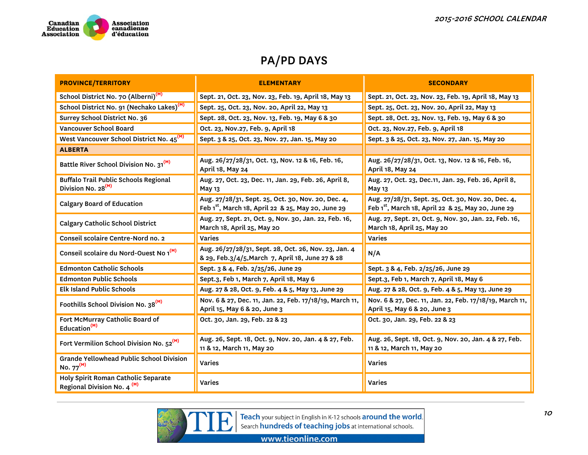

| <b>PROVINCE/TERRITORY</b>                                                      | <b>ELEMENTARY</b>                                                                                                    | <b>SECONDARY</b>                                                                                                     |
|--------------------------------------------------------------------------------|----------------------------------------------------------------------------------------------------------------------|----------------------------------------------------------------------------------------------------------------------|
| School District No. 70 (Alberni) <sup>(M)</sup>                                | Sept. 21, Oct. 23, Nov. 23, Feb. 19, April 18, May 13                                                                | Sept. 21, Oct. 23, Nov. 23, Feb. 19, April 18, May 13                                                                |
| School District No. 91 (Nechako Lakes) <sup>(M)</sup>                          | Sept. 25, Oct. 23, Nov. 20, April 22, May 13                                                                         | Sept. 25, Oct. 23, Nov. 20, April 22, May 13                                                                         |
| Surrey School District No. 36                                                  | Sept. 28, Oct. 23, Nov. 13, Feb. 19, May 6 & 30                                                                      | Sept. 28, Oct. 23, Nov. 13, Feb. 19, May 6 & 30                                                                      |
| Vancouver School Board                                                         | Oct. 23, Nov.27, Feb. 9, April 18                                                                                    | Oct. 23, Nov.27, Feb. 9, April 18                                                                                    |
| West Vancouver School District No. 45 <sup>(M)</sup>                           | Sept. 3 & 25, Oct. 23, Nov. 27, Jan. 15, May 20                                                                      | Sept. 3 & 25, Oct. 23, Nov. 27, Jan. 15, May 20                                                                      |
| <b>ALBERTA</b>                                                                 |                                                                                                                      |                                                                                                                      |
| Battle River School Division No. 31 <sup>(M)</sup>                             | Aug. 26/27/28/31, Oct. 13, Nov. 12 & 16, Feb. 16,<br>April 18, May 24                                                | Aug. 26/27/28/31, Oct. 13, Nov. 12 & 16, Feb. 16,<br>April 18, May 24                                                |
| <b>Buffalo Trail Public Schools Regional</b><br>Division No. 28 <sup>(M)</sup> | Aug. 27, Oct. 23, Dec. 11, Jan. 29, Feb. 26, April 8,<br>May 13                                                      | Aug. 27, Oct. 23, Dec.11, Jan. 29, Feb. 26, April 8,<br>May 13                                                       |
| <b>Calgary Board of Education</b>                                              | Aug. 27/28/31, Sept. 25, Oct. 30, Nov. 20, Dec. 4,<br>Feb 1 <sup>st</sup> , March 18, April 22 & 25, May 20, June 29 | Aug. 27/28/31, Sept. 25, Oct. 30, Nov. 20, Dec. 4,<br>Feb 1 <sup>st</sup> , March 18, April 22 & 25, May 20, June 29 |
| <b>Calgary Catholic School District</b>                                        | Aug. 27, Sept. 21, Oct. 9, Nov. 30, Jan. 22, Feb. 16,<br>March 18, April 25, May 20                                  | Aug. 27, Sept. 21, Oct. 9, Nov. 30, Jan. 22, Feb. 16,<br>March 18, April 25, May 20                                  |
| Conseil scolaire Centre-Nord no. 2                                             | Varies                                                                                                               | Varies                                                                                                               |
| Conseil scolaire du Nord-Ouest No 1 <sup>(M)</sup>                             | Aug. 26/27/28/31, Sept. 28, Oct. 26, Nov. 23, Jan. 4<br>& 29, Feb.3/4/5, March 7, April 18, June 27 & 28             | N/A                                                                                                                  |
| <b>Edmonton Catholic Schools</b>                                               | Sept. 3 & 4, Feb. 2/25/26, June 29                                                                                   | Sept. 3 & 4, Feb. 2/25/26, June 29                                                                                   |
| <b>Edmonton Public Schools</b>                                                 | Sept.3, Feb 1, March 7, April 18, May 6                                                                              | Sept.3, Feb 1, March 7, April 18, May 6                                                                              |
| <b>Elk Island Public Schools</b>                                               | Aug. 27 & 28, Oct. 9, Feb. 4 & 5, May 13, June 29                                                                    | Aug. 27 & 28, Oct. 9, Feb. 4 & 5, May 13, June 29                                                                    |
| Foothills School Division No. 38 <sup>(M)</sup>                                | Nov. 6 & 27, Dec. 11, Jan. 22, Feb. 17/18/19, March 11,<br>April 15, May 6 & 20, June 3                              | Nov. 6 & 27, Dec. 11, Jan. 22, Feb. 17/18/19, March 11,<br>April 15, May 6 & 20, June 3                              |
| Fort McMurray Catholic Board of<br>Education <sup>(M)</sup>                    | Oct. 30, Jan. 29, Feb. 22 & 23                                                                                       | Oct. 30, Jan. 29, Feb. 22 & 23                                                                                       |
| Fort Vermilion School Division No. 52 <sup>(M)</sup>                           | Aug. 26, Sept. 18, Oct. 9, Nov. 20, Jan. 4 & 27, Feb.<br>11 & 12, March 11, May 20                                   | Aug. 26, Sept. 18, Oct. 9, Nov. 20, Jan. 4 & 27, Feb.<br>11 & 12, March 11, May 20                                   |
| Grande Yellowhead Public School Division<br>No. $77^{(M)}$                     | <b>Varies</b>                                                                                                        | <b>Varies</b>                                                                                                        |
| Holy Spirit Roman Catholic Separate<br>Regional Division No. 4 <sup>(M)</sup>  | <b>Varies</b>                                                                                                        | <b>Varies</b>                                                                                                        |



Teach your subject in English in K-12 schools around the world.<br>Search hundreds of teaching jobs at international schools.

www.tieonline.com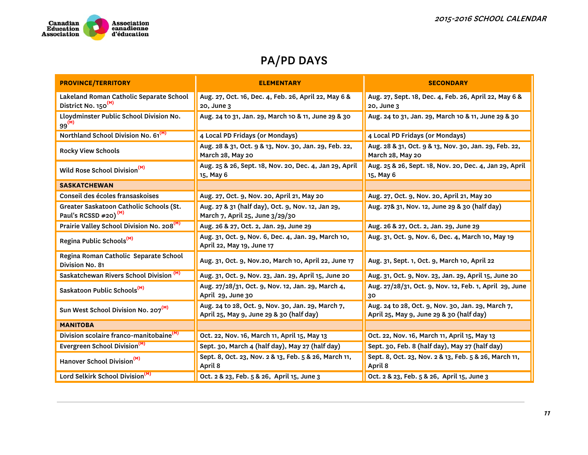

| <b>PROVINCE/TERRITORY</b>                                                  | <b>ELEMENTARY</b>                                                                             | <b>SECONDARY</b>                                                                              |
|----------------------------------------------------------------------------|-----------------------------------------------------------------------------------------------|-----------------------------------------------------------------------------------------------|
| Lakeland Roman Catholic Separate School<br>District No. 150 <sup>(M)</sup> | Aug. 27, Oct. 16, Dec. 4, Feb. 26, April 22, May 6 &<br>20, June 3                            | Aug. 27, Sept. 18, Dec. 4, Feb. 26, April 22, May 6 &<br>20, June 3                           |
| Lloydminster Public School Division No.<br>$99^{(M)}$                      | Aug. 24 to 31, Jan. 29, March 10 & 11, June 29 & 30                                           | Aug. 24 to 31, Jan. 29, March 10 & 11, June 29 & 30                                           |
| Northland School Division No. 61 <sup>(M)</sup>                            | 4 Local PD Fridays (or Mondays)                                                               | 4 Local PD Fridays (or Mondays)                                                               |
| <b>Rocky View Schools</b>                                                  | Aug. 28 & 31, Oct. 9 & 13, Nov. 30, Jan. 29, Feb. 22,<br>March 28, May 20                     | Aug. 28 & 31, Oct. 9 & 13, Nov. 30, Jan. 29, Feb. 22,<br>March 28, May 20                     |
| Wild Rose School Division <sup>(M)</sup>                                   | Aug. 25 & 26, Sept. 18, Nov. 20, Dec. 4, Jan 29, April<br>15, May 6                           | Aug. 25 & 26, Sept. 18, Nov. 20, Dec. 4, Jan 29, April<br>15, May 6                           |
| <b>SASKATCHEWAN</b>                                                        |                                                                                               |                                                                                               |
| Conseil des écoles fransaskoises                                           | Aug. 27, Oct. 9, Nov. 20, April 21, May 20                                                    | Aug. 27, Oct. 9, Nov. 20, April 21, May 20                                                    |
| Greater Saskatoon Catholic Schools (St.<br>Paul's RCSSD #20) $^{(M)}$      | Aug. 27 & 31 (half day), Oct. 9, Nov. 12, Jan 29,<br>March 7, April 25, June 3/29/30          | Aug. 27& 31, Nov. 12, June 29 & 30 (half day)                                                 |
| Prairie Valley School Division No. 208 <sup>(M)</sup>                      | Aug. 26 & 27, Oct. 2, Jan. 29, June 29                                                        | Aug. 26 & 27, Oct. 2, Jan. 29, June 29                                                        |
| Regina Public Schools <sup>(M)</sup>                                       | Aug. 31, Oct. 9, Nov. 6, Dec. 4, Jan. 29, March 10,<br>April 22, May 19, June 17              | Aug. 31, Oct. 9, Nov. 6, Dec. 4, March 10, May 19                                             |
| Regina Roman Catholic Separate School<br>Division No. 81                   | Aug. 31, Oct. 9, Nov.20, March 10, April 22, June 17                                          | Aug. 31, Sept. 1, Oct. 9, March 10, April 22                                                  |
| Saskatchewan Rivers School Division <sup>(M)</sup>                         | Aug. 31, Oct. 9, Nov. 23, Jan. 29, April 15, June 20                                          | Aug. 31, Oct. 9, Nov. 23, Jan. 29, April 15, June 20                                          |
| Saskatoon Public Schools <sup>(M)</sup>                                    | Aug. 27/28/31, Oct. 9, Nov. 12, Jan. 29, March 4,<br>April 29, June 30                        | Aug. 27/28/31, Oct. 9, Nov. 12, Feb. 1, April 29, June<br>30                                  |
| Sun West School Division No. 207 <sup>(M)</sup>                            | Aug. 24 to 28, Oct. 9, Nov. 30, Jan. 29, March 7,<br>April 25, May 9, June 29 & 30 (half day) | Aug. 24 to 28, Oct. 9, Nov. 30, Jan. 29, March 7,<br>April 25, May 9, June 29 & 30 (half day) |
| <b>MANITOBA</b>                                                            |                                                                                               |                                                                                               |
| Division scolaire franco-manitobaine <sup>(M)</sup>                        | Oct. 22, Nov. 16, March 11, April 15, May 13                                                  | Oct. 22, Nov. 16, March 11, April 15, May 13                                                  |
| Evergreen School Division <sup>(M)</sup>                                   | Sept. 30, March 4 (half day), May 27 (half day)                                               | Sept. 30, Feb. 8 (half day), May 27 (half day)                                                |
| Hanover School Division <sup>(M)</sup>                                     | Sept. 8, Oct. 23, Nov. 2 & 13, Feb. 5 & 26, March 11,<br>April 8                              | Sept. 8, Oct. 23, Nov. 2 & 13, Feb. 5 & 26, March 11,<br>April 8                              |
| Lord Selkirk School Division <sup>(M)</sup>                                | Oct. 2 & 23, Feb. 5 & 26, April 15, June 3                                                    | Oct. 2 & 23, Feb. 5 & 26, April 15, June 3                                                    |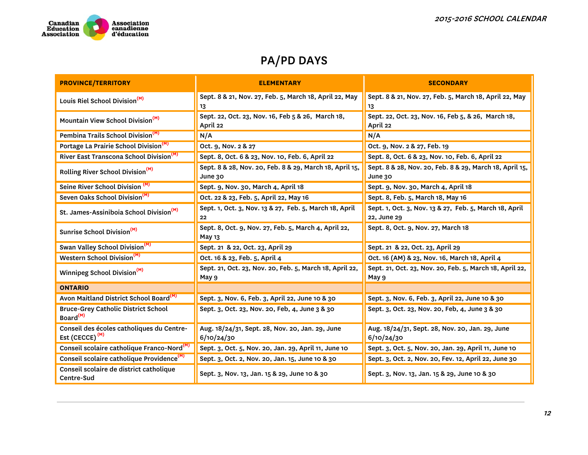

| <b>PROVINCE/TERRITORY</b>                                          | <b>ELEMENTARY</b>                                                  | <b>SECONDARY</b>                                                      |
|--------------------------------------------------------------------|--------------------------------------------------------------------|-----------------------------------------------------------------------|
| Louis Riel School Division <sup>(M)</sup>                          | Sept. 8 & 21, Nov. 27, Feb. 5, March 18, April 22, May<br>13       | Sept. 8 & 21, Nov. 27, Feb. 5, March 18, April 22, May<br>13          |
| Mountain View School Division <sup>(M)</sup>                       | Sept. 22, Oct. 23, Nov. 16, Feb 5 & 26, March 18,<br>April 22      | Sept. 22, Oct. 23, Nov. 16, Feb 5, & 26, March 18,<br>April 22        |
| Pembina Trails School Division <sup>(M)</sup>                      | N/A                                                                | N/A                                                                   |
| Portage La Prairie School Division <sup>(M)</sup>                  | Oct. 9, Nov. 2 & 27                                                | Oct. 9, Nov. 2 & 27, Feb. 19                                          |
| River East Transcona School Division <sup>(M)</sup>                | Sept. 8, Oct. 6 & 23, Nov. 10, Feb. 6, April 22                    | Sept. 8, Oct. 6 & 23, Nov. 10, Feb. 6, April 22                       |
| Rolling River School Division <sup>(M)</sup>                       | Sept. 8 & 28, Nov. 20, Feb. 8 & 29, March 18, April 15,<br>June 30 | Sept. 8 & 28, Nov. 20, Feb. 8 & 29, March 18, April 15,<br>June 30    |
| Seine River School Division <sup>(M)</sup>                         | Sept. 9, Nov. 30, March 4, April 18                                | Sept. 9, Nov. 30, March 4, April 18                                   |
| Seven Oaks School Division <sup>(M)</sup>                          | Oct. 22 & 23, Feb. 5, April 22, May 16                             | Sept. 8, Feb. 5, March 18, May 16                                     |
| St. James-Assiniboia School Division <sup>(M)</sup>                | Sept. 1, Oct. 3, Nov. 13 & 27, Feb. 5, March 18, April<br>22       | Sept. 1, Oct. 3, Nov. 13 & 27, Feb. 5, March 18, April<br>22, June 29 |
| Sunrise School Division <sup>(M)</sup>                             | Sept. 8, Oct. 9, Nov. 27, Feb. 5, March 4, April 22,<br>May 13     | Sept. 8, Oct. 9, Nov. 27, March 18                                    |
| Swan Valley School Division <sup>(M)</sup>                         | Sept. 21 & 22, Oct. 23, April 29                                   | Sept. 21 & 22, Oct. 23, April 29                                      |
| Western School Division <sup>(M)</sup>                             | Oct. 16 & 23, Feb. 5, April 4                                      | Oct. 16 (AM) & 23, Nov. 16, March 18, April 4                         |
| Winnipeg School Division <sup>(M)</sup>                            | Sept. 21, Oct. 23, Nov. 20, Feb. 5, March 18, April 22,<br>May 9   | Sept. 21, Oct. 23, Nov. 20, Feb. 5, March 18, April 22,<br>May 9      |
| <b>ONTARIO</b>                                                     |                                                                    |                                                                       |
| Avon Maitland District School Board <sup>(M)</sup>                 | Sept. 3, Nov. 6, Feb. 3, April 22, June 10 & 30                    | Sept. 3, Nov. 6, Feb. 3, April 22, June 10 & 30                       |
| <b>Bruce-Grey Catholic District School</b><br>Board <sup>(M)</sup> | Sept. 3, Oct. 23, Nov. 20, Feb, 4, June 3 & 30                     | Sept. 3, Oct. 23, Nov. 20, Feb, 4, June 3 & 30                        |
| Conseil des écoles catholiques du Centre-<br>Est (CECCE) $^{(M)}$  | Aug. 18/24/31, Sept. 28, Nov. 20, Jan. 29, June<br>6/10/24/30      | Aug. 18/24/31, Sept. 28, Nov. 20, Jan. 29, June<br>6/10/24/30         |
| Conseil scolaire catholique Franco-Nord <sup>(M</sup>              | Sept. 3, Oct. 5, Nov. 20, Jan. 29, April 11, June 10               | Sept. 3, Oct. 5, Nov. 20, Jan. 29, April 11, June 10                  |
| Conseil scolaire catholique Providence <sup>(M)</sup>              | Sept. 3, Oct. 2, Nov. 20, Jan. 15, June 10 & 30                    | Sept. 3, Oct. 2, Nov. 20, Fev. 12, April 22, June 30                  |
| Conseil scolaire de district catholique<br>Centre-Sud              | Sept. 3, Nov. 13, Jan. 15 & 29, June 10 & 30                       | Sept. 3, Nov. 13, Jan. 15 & 29, June 10 & 30                          |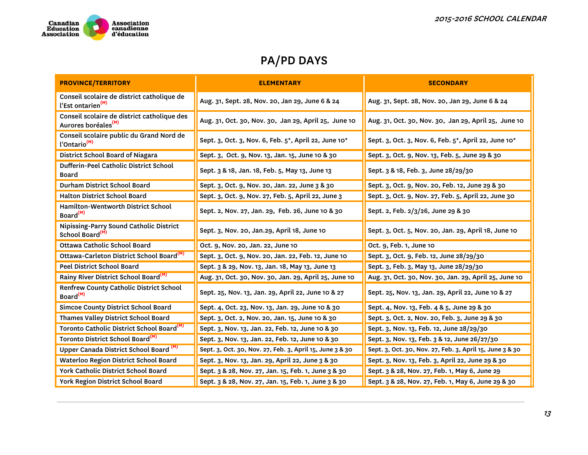

| <b>PROVINCE/TERRITORY</b>                                                      | <b>ELEMENTARY</b>                                        | <b>SECONDARY</b>                                         |  |  |
|--------------------------------------------------------------------------------|----------------------------------------------------------|----------------------------------------------------------|--|--|
| Conseil scolaire de district catholique de<br>l'Est ontarien <sup>(M)</sup>    | Aug. 31, Sept. 28, Nov. 20, Jan 29, June 6 & 24          | Aug. 31, Sept. 28, Nov. 20, Jan 29, June 6 & 24          |  |  |
| Conseil scolaire de district catholique des<br>Aurores boréales <sup>(M)</sup> | Aug. 31, Oct. 30, Nov. 30, Jan 29, April 25, June 10     | Aug. 31, Oct. 30, Nov. 30, Jan 29, April 25, June 10     |  |  |
| Conseil scolaire public du Grand Nord de<br>l'Ontario <sup>(M)</sup>           | Sept. 3, Oct. 3, Nov. 6, Feb. 5*, April 22, June 10*     | Sept. 3, Oct. 3, Nov. 6, Feb. 5*, April 22, June 10*     |  |  |
| District School Board of Niagara                                               | Sept. 3, Oct. 9, Nov. 13, Jan. 15, June 10 & 30          | Sept. 3, Oct. 9, Nov. 13, Feb. 5, June 29 & 30           |  |  |
| Dufferin-Peel Catholic District School<br><b>Board</b>                         | Sept. 3 & 18, Jan. 18, Feb. 5, May 13, June 13           | Sept. 3 & 18, Feb. 3, June 28/29/30                      |  |  |
| Durham District School Board                                                   | Sept. 3, Oct. 9, Nov. 20, Jan. 22, June 3 & 30           | Sept. 3, Oct. 9, Nov. 20, Feb. 12, June 29 & 30          |  |  |
| <b>Halton District School Board</b>                                            | Sept. 3, Oct. 9, Nov. 27, Feb. 5, April 22, June 3       | Sept. 3, Oct. 9, Nov. 27, Feb. 5, April 22, June 30      |  |  |
| Hamilton-Wentworth District School<br>Board <sup>(M)</sup>                     | Sept. 2, Nov. 27, Jan. 29, Feb. 26, June 10 & 30         | Sept. 2, Feb. 2/3/26, June 29 & 30                       |  |  |
| Nipissing-Parry Sound Catholic District<br>School Board <sup>(M)</sup>         | Sept. 3, Nov. 20, Jan.29, April 18, June 10              | Sept. 3, Oct. 5, Nov. 20, Jan. 29, April 18, June 10     |  |  |
| Ottawa Catholic School Board                                                   | Oct. 9, Nov. 20, Jan. 22, June 10                        | Oct. 9, Feb. 1, June 10                                  |  |  |
| Ottawa-Carleton District School Board <sup>(M)</sup>                           | Sept. 3, Oct. 9, Nov. 20, Jan. 22, Feb. 12, June 10      | Sept. 3, Oct. 9, Feb. 12, June 28/29/30                  |  |  |
| <b>Peel District School Board</b>                                              | Sept. 3 & 29, Nov. 13, Jan. 18, May 13, June 13          | Sept. 3, Feb. 3, May 13, June 28/29/30                   |  |  |
| Rainy River District School Board <sup>(M)</sup>                               | Aug. 31, Oct. 30, Nov. 30, Jan. 29, April 25, June 10    | Aug. 31, Oct. 30, Nov. 30, Jan. 29, April 25, June 10    |  |  |
| Renfrew County Catholic District School<br>Board <sup>(M)</sup>                | Sept. 25, Nov. 13, Jan. 29, April 22, June 10 & 27       | Sept. 25, Nov. 13, Jan. 29, April 22, June 10 & 27       |  |  |
| <b>Simcoe County District School Board</b>                                     | Sept. 4, Oct. 23, Nov. 13, Jan. 29, June 10 & 30         | Sept. 4, Nov. 13, Feb. 4 & 5, June 29 & 30               |  |  |
| Thames Valley District School Board                                            | Sept. 3, Oct. 2, Nov. 20, Jan. 15, June 10 & 30          | Sept. 3, Oct. 2, Nov. 20, Feb. 3, June 29 & 30           |  |  |
| Toronto Catholic District School Board <sup>(M)</sup>                          | Sept. 3, Nov. 13, Jan. 22, Feb. 12, June 10 & 30         | Sept. 3, Nov. 13, Feb. 12, June 28/29/30                 |  |  |
| Toronto District School Board <sup>(M)</sup>                                   | Sept. 3, Nov. 13, Jan. 22, Feb. 12, June 10 & 30         | Sept. 3, Nov. 13, Feb. 3 & 12, June 26/27/30             |  |  |
| Upper Canada District School Board <sup>(M)</sup>                              | Sept. 3, Oct. 30, Nov. 27, Feb. 3, April 15, June 3 & 30 | Sept. 3, Oct. 30, Nov. 27, Feb. 3, April 15, June 3 & 30 |  |  |
| <b>Waterloo Region District School Board</b>                                   | Sept. 3, Nov. 13, Jan. 29, April 22, June 3 & 30         | Sept. 3, Nov. 13, Feb. 3, April 22, June 29 & 30         |  |  |
| York Catholic District School Board                                            | Sept. 3 & 28, Nov. 27, Jan. 15, Feb. 1, June 3 & 30      | Sept. 3 & 28, Nov. 27, Feb. 1, May 6, June 29            |  |  |
| York Region District School Board                                              | Sept. 3 & 28, Nov. 27, Jan. 15, Feb. 1, June 3 & 30      | Sept. 3 & 28, Nov. 27, Feb. 1, May 6, June 29 & 30       |  |  |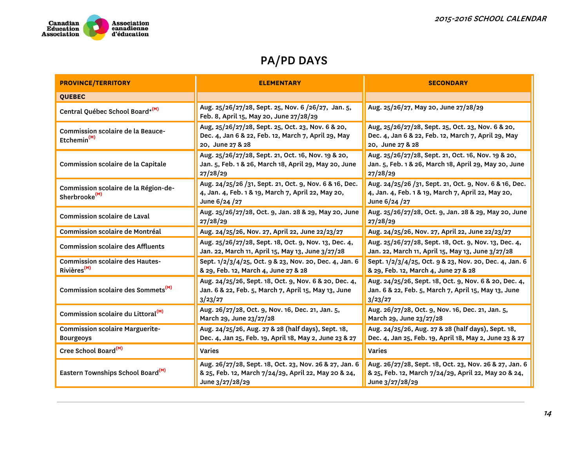

| <b>PROVINCE/TERRITORY</b>                                                                                                                                                          | <b>ELEMENTARY</b>                                                                                                             | <b>SECONDARY</b>                                                                                                                  |  |  |
|------------------------------------------------------------------------------------------------------------------------------------------------------------------------------------|-------------------------------------------------------------------------------------------------------------------------------|-----------------------------------------------------------------------------------------------------------------------------------|--|--|
| <b>OUEBEC</b>                                                                                                                                                                      |                                                                                                                               |                                                                                                                                   |  |  |
| Central Québec School Board* <sup>(M)</sup>                                                                                                                                        | Aug. 25/26/27/28, Sept. 25, Nov. 6/26/27, Jan. 5,<br>Feb. 8, April 15, May 20, June 27/28/29                                  | Aug. 25/26/27, May 20, June 27/28/29                                                                                              |  |  |
| Commission scolaire de la Beauce-<br>Etchemin <sup>(M)</sup>                                                                                                                       | Aug, 25/26/27/28, Sept. 25, Oct. 23, Nov. 6 & 20,<br>Dec. 4, Jan 6 & 22, Feb. 12, March 7, April 29, May<br>20, June 27 & 28  | Aug, 25/26/27/28, Sept. 25, Oct. 23, Nov. 6 & 20,<br>Dec. 4, Jan 6 & 22, Feb. 12, March 7, April 29, May<br>20, June 27 & 28      |  |  |
| Commission scolaire de la Capitale                                                                                                                                                 | Aug. 25/26/27/28, Sept. 21, Oct. 16, Nov. 19 & 20,<br>Jan. 5, Feb. 1 & 26, March 18, April 29, May 20, June<br>27/28/29       | Aug. 25/26/27/28, Sept. 21, Oct. 16, Nov. 19 & 20,<br>Jan. 5, Feb. 1 & 26, March 18, April 29, May 20, June<br>27/28/29           |  |  |
| Commission scolaire de la Région-de-<br>Sherbrooke <sup>(M)</sup>                                                                                                                  | Aug. 24/25/26 /31, Sept. 21, Oct. 9, Nov. 6 & 16, Dec.<br>4, Jan. 4, Feb. 1 & 19, March 7, April 22, May 20,<br>June 6/24 /27 | Aug. 24/25/26 /31, Sept. 21, Oct. 9, Nov. 6 & 16, Dec.<br>4, Jan. 4, Feb. 1 & 19, March 7, April 22, May 20,<br>June 6/24 /27     |  |  |
| Commission scolaire de Laval                                                                                                                                                       | Aug. 25/26/27/28, Oct. 9, Jan. 28 & 29, May 20, June<br>27/28/29                                                              | Aug. 25/26/27/28, Oct. 9, Jan. 28 & 29, May 20, June<br>27/28/29                                                                  |  |  |
| Commission scolaire de Montréal                                                                                                                                                    | Aug. 24/25/26, Nov. 27, April 22, June 22/23/27                                                                               | Aug. 24/25/26, Nov. 27, April 22, June 22/23/27                                                                                   |  |  |
| <b>Commission scolaire des Affluents</b>                                                                                                                                           | Aug. 25/26/27/28, Sept. 18, Oct. 9, Nov. 13, Dec. 4,<br>Jan. 22, March 11, April 15, May 13, June 3/27/28                     | Aug. 25/26/27/28, Sept. 18, Oct. 9, Nov. 13, Dec. 4,<br>Jan. 22, March 11, April 15, May 13, June 3/27/28                         |  |  |
| <b>Commission scolaire des Hautes-</b><br>Rivières <sup>(M)</sup>                                                                                                                  | Sept. 1/2/3/4/25, Oct. 9 & 23, Nov. 20, Dec. 4, Jan. 6<br>& 29, Feb. 12, March 4, June 27 & 28                                | Sept. 1/2/3/4/25, Oct. 9 & 23, Nov. 20, Dec. 4, Jan. 6<br>& 29, Feb. 12, March 4, June 27 & 28                                    |  |  |
| Commission scolaire des Sommets <sup>(M)</sup>                                                                                                                                     | Aug. 24/25/26, Sept. 18, Oct. 9, Nov. 6 & 20, Dec. 4,<br>Jan. 6 & 22, Feb. 5, March 7, April 15, May 13, June<br>3/23/27      | Aug. 24/25/26, Sept. 18, Oct. 9, Nov. 6 & 20, Dec. 4,<br>Jan. 6 & 22, Feb. 5, March 7, April 15, May 13, June<br>3/23/27          |  |  |
| Commission scolaire du Littoral <sup>(M)</sup>                                                                                                                                     | Aug. 26/27/28, Oct. 9, Nov. 16, Dec. 21, Jan. 5,<br>March 29, June 23/27/28                                                   | Aug. 26/27/28, Oct. 9, Nov. 16, Dec. 21, Jan. 5,<br>March 29, June 23/27/28                                                       |  |  |
| <b>Commission scolaire Marguerite-</b><br><b>Bourgeoys</b>                                                                                                                         | Aug. 24/25/26, Aug. 27 & 28 (half days), Sept. 18,<br>Dec. 4, Jan 25, Feb. 19, April 18, May 2, June 23 & 27                  | Aug. 24/25/26, Aug. 27 & 28 (half days), Sept. 18,<br>Dec. 4, Jan 25, Feb. 19, April 18, May 2, June 23 & 27                      |  |  |
| Cree School Board <sup>(M)</sup>                                                                                                                                                   | <b>Varies</b>                                                                                                                 | <b>Varies</b>                                                                                                                     |  |  |
| Aug. 26/27/28, Sept. 18, Oct. 23, Nov. 26 & 27, Jan. 6<br>Eastern Townships School Board <sup>(M)</sup><br>& 25, Feb. 12, March 7/24/29, April 22, May 20 & 24,<br>June 3/27/28/29 |                                                                                                                               | Aug. 26/27/28, Sept. 18, Oct. 23, Nov. 26 & 27, Jan. 6<br>& 25, Feb. 12, March 7/24/29, April 22, May 20 & 24,<br>June 3/27/28/29 |  |  |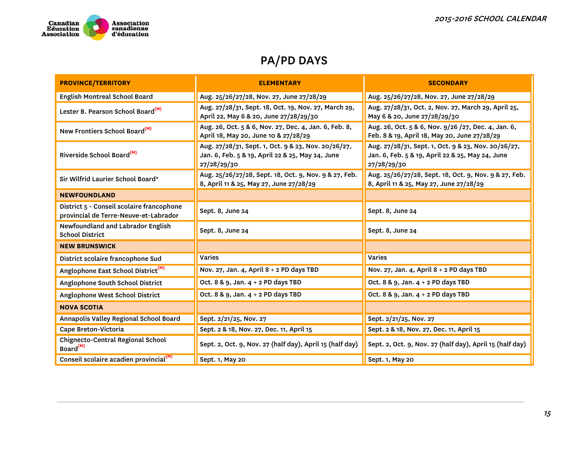

| <b>PROVINCE/TERRITORY</b>                                                          | <b>ELEMENTARY</b>                                                                                                      | <b>SECONDARY</b>                                                                                                       |  |  |
|------------------------------------------------------------------------------------|------------------------------------------------------------------------------------------------------------------------|------------------------------------------------------------------------------------------------------------------------|--|--|
| <b>English Montreal School Board</b>                                               | Aug. 25/26/27/28, Nov. 27, June 27/28/29                                                                               | Aug. 25/26/27/28, Nov. 27, June 27/28/29                                                                               |  |  |
| Lester B. Pearson School Board <sup>(M)</sup>                                      | Aug. 27/28/31, Sept. 18, Oct. 19, Nov. 27, March 29,<br>April 22, May 6 & 20, June 27/28/29/30                         | Aug. 27/28/31, Oct. 2, Nov. 27, March 29, April 25,<br>May 6 & 20, June 27/28/29/30                                    |  |  |
| New Frontiers School Board <sup>(M)</sup>                                          | Aug. 26, Oct. 5 & 6, Nov. 27, Dec. 4, Jan. 6, Feb. 8,<br>April 18, May 20, June 10 & 27/28/29                          | Aug. 26, Oct. 5 & 6, Nov. 9/26 /27, Dec. 4, Jan. 6,<br>Feb. 8 & 19, April 18, May 20, June 27/28/29                    |  |  |
| Riverside School Board <sup>(M)</sup>                                              | Aug. 27/28/31, Sept. 1, Oct. 9 & 23, Nov. 20/26/27,<br>Jan. 6, Feb. 5 & 19, April 22 & 25, May 24, June<br>27/28/29/30 | Aug. 27/28/31, Sept. 1, Oct. 9 & 23, Nov. 20/26/27,<br>Jan. 6, Feb. 5 & 19, April 22 & 25, May 24, June<br>27/28/29/30 |  |  |
| Sir Wilfrid Laurier School Board*                                                  | Aug. 25/26/27/28, Sept. 18, Oct. 9, Nov. 9 & 27, Feb.<br>8, April 11 & 25, May 27, June 27/28/29                       | Aug. 25/26/27/28, Sept. 18, Oct. 9, Nov. 9 & 27, Feb.<br>8, April 11 & 25, May 27, June 27/28/29                       |  |  |
| <b>NEWFOUNDLAND</b>                                                                |                                                                                                                        |                                                                                                                        |  |  |
| District 5 - Conseil scolaire francophone<br>provincial de Terre-Neuve-et-Labrador | Sept. 8, June 24                                                                                                       | Sept. 8, June 24                                                                                                       |  |  |
| Newfoundland and Labrador English<br><b>School District</b>                        | Sept. 8, June 24                                                                                                       | Sept. 8, June 24                                                                                                       |  |  |
| <b>NEW BRUNSWICK</b>                                                               |                                                                                                                        |                                                                                                                        |  |  |
| District scolaire francophone Sud                                                  | <b>Varies</b>                                                                                                          | <b>Varies</b>                                                                                                          |  |  |
| Anglophone East School District <sup>(M)</sup>                                     | Nov. 27, Jan. 4, April 8 + 2 PD days TBD                                                                               | Nov. 27, Jan. 4, April 8 + 2 PD days TBD                                                                               |  |  |
| Anglophone South School District                                                   | Oct. 8 & 9, Jan. 4 + 2 PD days TBD                                                                                     | Oct. 8 & 9, Jan. 4 + 2 PD days TBD                                                                                     |  |  |
| Anglophone West School District                                                    | Oct. 8 & 9, Jan. 4 + 2 PD days TBD                                                                                     | Oct. 8 & 9, Jan. 4 + 2 PD days TBD                                                                                     |  |  |
| <b>NOVA SCOTIA</b>                                                                 |                                                                                                                        |                                                                                                                        |  |  |
| Annapolis Valley Regional School Board                                             | Sept. 2/21/25, Nov. 27                                                                                                 | Sept. 2/21/25, Nov. 27                                                                                                 |  |  |
| Cape Breton-Victoria                                                               | Sept. 2 & 18, Nov. 27, Dec. 11, April 15                                                                               | Sept. 2 & 18, Nov. 27, Dec. 11, April 15                                                                               |  |  |
| <b>Chignecto-Central Regional School</b><br>Board <sup>(M)</sup>                   | Sept. 2, Oct. 9, Nov. 27 (half day), April 15 (half day)                                                               | Sept. 2, Oct. 9, Nov. 27 (half day), April 15 (half day)                                                               |  |  |
| Conseil scolaire acadien provincial <sup>(M)</sup>                                 | Sept. 1, May 20                                                                                                        | Sept. 1, May 20                                                                                                        |  |  |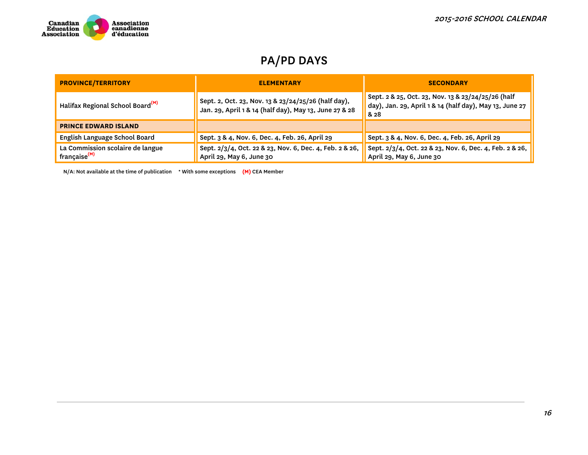

| <b>PROVINCE/TERRITORY</b>                                    | <b>ELEMENTARY</b>                                                                                             | <b>SECONDARY</b>                                                                                                      |  |  |
|--------------------------------------------------------------|---------------------------------------------------------------------------------------------------------------|-----------------------------------------------------------------------------------------------------------------------|--|--|
| Halifax Regional School Board <sup>(M)</sup>                 | Sept. 2, Oct. 23, Nov. 13 & 23/24/25/26 (half day),<br>Jan. 29, April 1 & 14 (half day), May 13, June 27 & 28 | Sept. 2 & 25, Oct. 23, Nov. 13 & 23/24/25/26 (half<br>day), Jan. 29, April 1 & 14 (half day), May 13, June 27<br>& 28 |  |  |
| <b>PRINCE EDWARD ISLAND</b>                                  |                                                                                                               |                                                                                                                       |  |  |
| English Language School Board                                | Sept. 3 & 4, Nov. 6, Dec. 4, Feb. 26, April 29                                                                | Sept. 3 & 4, Nov. 6, Dec. 4, Feb. 26, April 29                                                                        |  |  |
| La Commission scolaire de langue<br>française <sup>(M)</sup> | Sept. 2/3/4, Oct. 22 & 23, Nov. 6, Dec. 4, Feb. 2 & 26,<br>April 29, May 6, June 30                           | Sept. 2/3/4, Oct. 22 & 23, Nov. 6, Dec. 4, Feb. 2 & 26,<br>April 29, May 6, June 30                                   |  |  |

N/A: Not available at the time of publication \* With some exceptions **(M)** CEA Member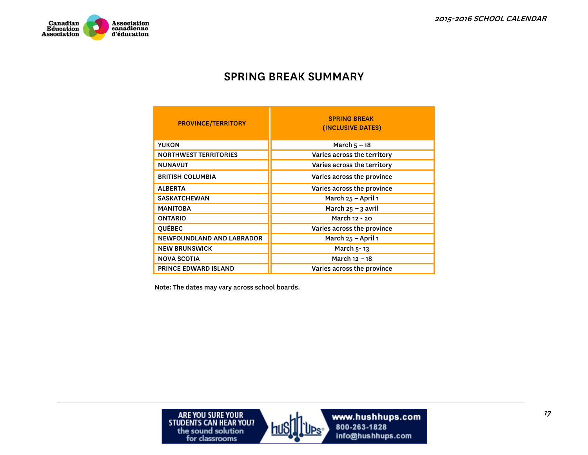

#### SPRING BREAK SUMMARY

| <b>PROVINCE/TERRITORY</b>    | <b>SPRING BREAK</b><br>(INCLUSIVE DATES) |
|------------------------------|------------------------------------------|
| <b>YUKON</b>                 | March $5 - 18$                           |
| <b>NORTHWEST TERRITORIES</b> | Varies across the territory              |
| <b>NUNAVUT</b>               | Varies across the territory              |
| <b>BRITISH COLUMBIA</b>      | Varies across the province               |
| <b>ALBERTA</b>               | Varies across the province               |
| <b>SASKATCHEWAN</b>          | March 25 - April 1                       |
| <b>MANITOBA</b>              | March $25 - 3$ avril                     |
| <b>ONTARIO</b>               | March 12 - 20                            |
| <b>QUÉBEC</b>                | Varies across the province               |
| NEWFOUNDLAND AND LABRADOR    | March 25 - April 1                       |
| <b>NEW BRUNSWICK</b>         | March 5-13                               |
| <b>NOVA SCOTIA</b>           | March 12 - 18                            |
| <b>PRINCE EDWARD ISLAND</b>  | Varies across the province               |

Note: The dates may vary across school boards.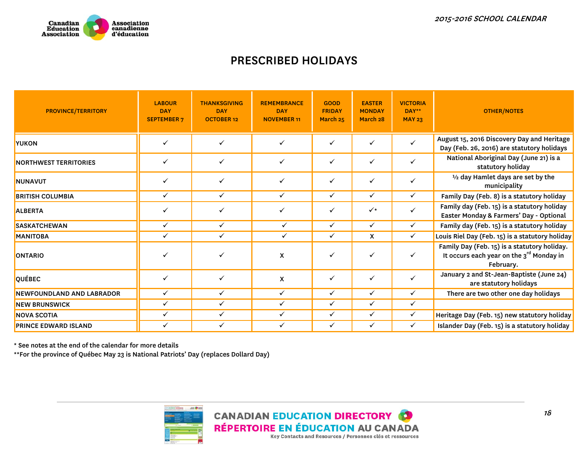

## PRESCRIBED HOLIDAYS

| <b>PROVINCE/TERRITORY</b>   | <b>LABOUR</b><br><b>DAY</b><br><b>SEPTEMBER 7</b> | <b>THANKSGIVING</b><br><b>DAY</b><br><b>OCTOBER 12</b> | <b>REMEMBRANCE</b><br><b>DAY</b><br><b>NOVEMBER 11</b> | <b>GOOD</b><br><b>FRIDAY</b><br>March 25 | <b>EASTER</b><br><b>MONDAY</b><br>March 28 | <b>VICTORIA</b><br>DAY**<br><b>MAY 23</b> | <b>OTHER/NOTES</b>                                                                                      |
|-----------------------------|---------------------------------------------------|--------------------------------------------------------|--------------------------------------------------------|------------------------------------------|--------------------------------------------|-------------------------------------------|---------------------------------------------------------------------------------------------------------|
| YUKON                       | ✓                                                 | ✓                                                      | ✓                                                      | $\checkmark$                             | ✓                                          | $\checkmark$                              | August 15, 2016 Discovery Day and Heritage<br>Day (Feb. 26, 2016) are statutory holidays                |
| NORTHWEST TERRITORIES       | ✓                                                 | ✓                                                      | $\checkmark$                                           | $\checkmark$                             | ✓                                          | ✓                                         | National Aboriginal Day (June 21) is a<br>statutory holiday                                             |
| <b>NUNAVUT</b>              | ✓                                                 |                                                        | ✓                                                      | $\checkmark$                             | ✓                                          | ✓                                         | <sup>1</sup> / <sub>2</sub> day Hamlet days are set by the<br>municipality                              |
| <b>BRITISH COLUMBIA</b>     | $\checkmark$                                      | $\checkmark$                                           | $\checkmark$                                           | $\checkmark$                             | ✓                                          | $\checkmark$                              | Family Day (Feb. 8) is a statutory holiday                                                              |
| <b>ALBERTA</b>              | ✓                                                 |                                                        | ✓                                                      | ✓                                        | $\checkmark$                               | $\checkmark$                              | Family day (Feb. 15) is a statutory holiday<br>Easter Monday & Farmers' Day - Optional                  |
| <b>SASKATCHEWAN</b>         | ✓                                                 | ✓                                                      | $\checkmark$                                           | ✓                                        | ✓                                          | ✓                                         | Family day (Feb. 15) is a statutory holiday                                                             |
| <b>MANITOBA</b>             | ✓                                                 | ✓                                                      | $\checkmark$                                           | $\checkmark$                             | X                                          | $\checkmark$                              | Louis Riel Day (Feb. 15) is a statutory holiday                                                         |
| <b>ONTARIO</b>              | ✓                                                 |                                                        | X                                                      | $\checkmark$                             | ✓                                          | $\checkmark$                              | Family Day (Feb. 15) is a statutory holiday.<br>It occurs each year on the $3rd$ Monday in<br>February. |
| <b>QUÉBEC</b>               | $\checkmark$                                      | $\checkmark$                                           | X                                                      | $\checkmark$                             | ✓                                          | $\checkmark$                              | January 2 and St-Jean-Baptiste (June 24)<br>are statutory holidays                                      |
| NEWFOUNDLAND AND LABRADOR   | ✓                                                 | ✓                                                      | ✓                                                      | $\checkmark$                             | ✓                                          | ✓                                         | There are two other one day holidays                                                                    |
| <b>NEW BRUNSWICK</b>        | ✓                                                 | $\checkmark$                                           | $\checkmark$                                           | $\checkmark$                             | ✓                                          | $\checkmark$                              |                                                                                                         |
| <b>NOVA SCOTIA</b>          | ✓                                                 | ✓                                                      | ✓                                                      | ✓                                        | ✓                                          | $\checkmark$                              | Heritage Day (Feb. 15) new statutory holiday                                                            |
| <b>PRINCE EDWARD ISLAND</b> | ✓                                                 | ✓                                                      | ✓                                                      | ✓                                        | ✓                                          | $\checkmark$                              | Islander Day (Feb. 15) is a statutory holiday                                                           |

\* See notes at the end of the calendar for more details

\*\*For the province of Québec May 23 is National Patriots' Day (replaces Dollard Day)

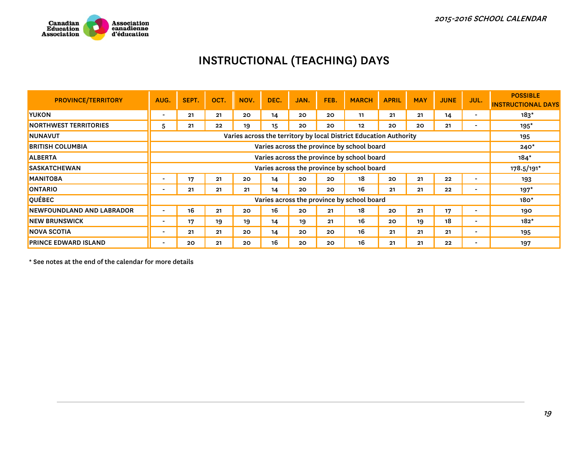

# INSTRUCTIONAL (TEACHING) DAYS

| <b>PROVINCE/TERRITORY</b>    | AUG.                     | SEPT.                                      | OCT. | NOV. | DEC. | JAN. | FEB. | <b>MARCH</b>                                                      | <b>APRIL</b> | <b>MAY</b> | <b>JUNE</b> | <b>JUL.</b>              | <b>POSSIBLE</b><br><b>INSTRUCTIONAL DAYS</b> |
|------------------------------|--------------------------|--------------------------------------------|------|------|------|------|------|-------------------------------------------------------------------|--------------|------------|-------------|--------------------------|----------------------------------------------|
| <b>IYUKON</b>                | $\overline{\phantom{0}}$ | 21                                         | 21   | 20   | 14   | 20   | 20   | 11                                                                | 21           | 21         | 14          |                          | $183*$                                       |
| <b>NORTHWEST TERRITORIES</b> | 5                        | 21                                         | 22   | 19   | 15   | 20   | 20   | 12                                                                | 20           | 20         | 21          |                          | $195*$                                       |
| <b>NUNAVUT</b>               |                          |                                            |      |      |      |      |      | Varies across the territory by local District Education Authority |              |            |             |                          | 195                                          |
| <b>BRITISH COLUMBIA</b>      |                          |                                            |      |      |      |      |      | Varies across the province by school board                        |              |            |             |                          | $240*$                                       |
| <b>ALBERTA</b>               |                          | Varies across the province by school board |      |      |      |      |      | $184*$                                                            |              |            |             |                          |                                              |
| <b>SASKATCHEWAN</b>          |                          | Varies across the province by school board |      |      |      |      |      |                                                                   | 178.5/191*   |            |             |                          |                                              |
| <b>MANITOBA</b>              | $\overline{\phantom{0}}$ | 17                                         | 21   | 20   | 14   | 20   | 20   | 18                                                                | 20           | 21         | 22          |                          | 193                                          |
| <b>ONTARIO</b>               | $\overline{\phantom{a}}$ | 21                                         | 21   | 21   | 14   | 20   | 20   | 16                                                                | 21           | 21         | 22          |                          | $197*$                                       |
| <b>QUÉBEC</b>                |                          | Varies across the province by school board |      |      |      |      |      | $180*$                                                            |              |            |             |                          |                                              |
| NEWFOUNDLAND AND LABRADOR    |                          | 16                                         | 21   | 20   | 16   | 20   | 21   | 18                                                                | 20           | 21         | 17          |                          | 190                                          |
| <b>NEW BRUNSWICK</b>         | $\blacksquare$           | 17                                         | 19   | 19   | 14   | 19   | 21   | 16                                                                | 20           | 19         | 18          | $\overline{\phantom{0}}$ | $182*$                                       |
| <b>NOVA SCOTIA</b>           | $\overline{\phantom{a}}$ | 21                                         | 21   | 20   | 14   | 20   | 20   | 16                                                                | 21           | 21         | 21          | $\overline{\phantom{0}}$ | 195                                          |
| <b>PRINCE EDWARD ISLAND</b>  |                          | 20                                         | 21   | 20   | 16   | 20   | 20   | 16                                                                | 21           | 21         | 22          | $\overline{\phantom{0}}$ | 197                                          |

\* See notes at the end of the calendar for more details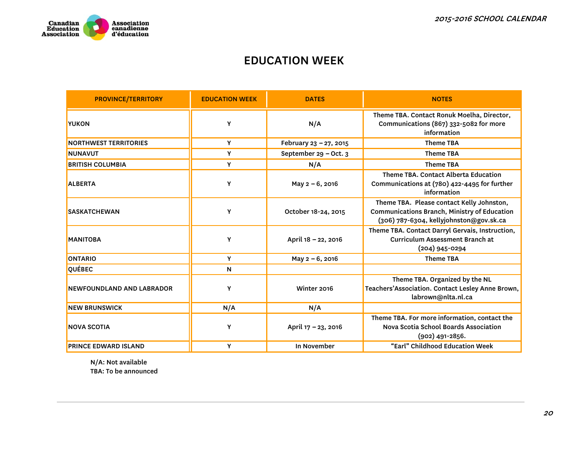

#### EDUCATION WEEK

| <b>PROVINCE/TERRITORY</b>    | <b>EDUCATION WEEK</b> | <b>DATES</b>           | <b>NOTES</b>                                                                                                                         |
|------------------------------|-----------------------|------------------------|--------------------------------------------------------------------------------------------------------------------------------------|
| <b>YUKON</b>                 | Y                     | N/A                    | Theme TBA. Contact Ronuk Moelha, Director,<br>Communications (867) 332-5082 for more<br>information                                  |
| <b>NORTHWEST TERRITORIES</b> | Y                     | February 23 - 27, 2015 | <b>Theme TBA</b>                                                                                                                     |
| <b>NUNAVUT</b>               | Y                     | September 29 - Oct. 3  | <b>Theme TBA</b>                                                                                                                     |
| <b>BRITISH COLUMBIA</b>      | Y                     | N/A                    | <b>Theme TBA</b>                                                                                                                     |
| <b>ALBERTA</b>               | Y                     | May 2-6, 2016          | Theme TBA. Contact Alberta Education<br>Communications at (780) 422-4495 for further<br>information                                  |
| <b>SASKATCHEWAN</b>          | Υ                     | October 18-24, 2015    | Theme TBA. Please contact Kelly Johnston,<br>Communications Branch, Ministry of Education<br>(306) 787-6304, kellyjohnston@gov.sk.ca |
| <b>MANITOBA</b>              | Υ                     | April 18 - 22, 2016    | Theme TBA. Contact Darryl Gervais, Instruction,<br><b>Curriculum Assessment Branch at</b><br>(204) 945-0294                          |
| <b>ONTARIO</b>               | Y                     | May 2-6, 2016          | <b>Theme TBA</b>                                                                                                                     |
| QUÉBEC                       | N                     |                        |                                                                                                                                      |
| NEWFOUNDLAND AND LABRADOR    | Υ                     | Winter 2016            | Theme TBA. Organized by the NL<br>Teachers'Association. Contact Lesley Anne Brown,<br>labrown@nlta.nl.ca                             |
| <b>NEW BRUNSWICK</b>         | N/A                   | N/A                    |                                                                                                                                      |
| <b>NOVA SCOTIA</b>           | Y                     | April 17 - 23, 2016    | Theme TBA. For more information, contact the<br>Nova Scotia School Boards Association<br>$(902)$ 491-2856.                           |
| <b>PRINCE EDWARD ISLAND</b>  | Y                     | In November            | "Earl" Childhood Education Week                                                                                                      |

N/A: Not available

TBA: To be announced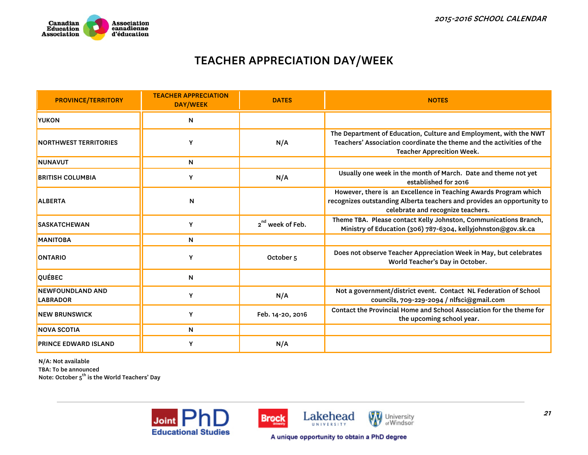

## TEACHER APPRECIATION DAY/WEEK

| <b>PROVINCE/TERRITORY</b>                  | <b>TEACHER APPRECIATION</b><br><b>DAY/WEEK</b> | <b>DATES</b>                 | <b>NOTES</b>                                                                                                                                                                    |
|--------------------------------------------|------------------------------------------------|------------------------------|---------------------------------------------------------------------------------------------------------------------------------------------------------------------------------|
| <b>YUKON</b>                               | N                                              |                              |                                                                                                                                                                                 |
| <b>NORTHWEST TERRITORIES</b>               | Υ                                              | N/A                          | The Department of Education, Culture and Employment, with the NWT<br>Teachers' Association coordinate the theme and the activities of the<br><b>Teacher Apprecition Week.</b>   |
| <b>NUNAVUT</b>                             | N                                              |                              |                                                                                                                                                                                 |
| <b>BRITISH COLUMBIA</b>                    | Y                                              | N/A                          | Usually one week in the month of March. Date and theme not yet<br>established for 2016                                                                                          |
| <b>ALBERTA</b>                             | N                                              |                              | However, there is an Excellence in Teaching Awards Program which<br>recognizes outstanding Alberta teachers and provides an opportunity to<br>celebrate and recognize teachers. |
| <b>SASKATCHEWAN</b>                        | Y                                              | 2 <sup>nd</sup> week of Feb. | Theme TBA. Please contact Kelly Johnston, Communications Branch,<br>Ministry of Education (306) 787-6304, kellyjohnston@gov.sk.ca                                               |
| <b>MANITOBA</b>                            | N                                              |                              |                                                                                                                                                                                 |
| <b>ONTARIO</b>                             | Y                                              | October <sub>5</sub>         | Does not observe Teacher Appreciation Week in May, but celebrates<br>World Teacher's Day in October.                                                                            |
| <b>QUÉBEC</b>                              | $\mathsf{N}$                                   |                              |                                                                                                                                                                                 |
| <b>NEWFOUNDLAND AND</b><br><b>LABRADOR</b> | Y                                              | N/A                          | Not a government/district event. Contact NL Federation of School<br>councils, 709-229-2094 / nlfsci@gmail.com                                                                   |
| <b>NEW BRUNSWICK</b>                       | Y                                              | Feb. 14-20, 2016             | Contact the Provincial Home and School Association for the theme for<br>the upcoming school year.                                                                               |
| <b>NOVA SCOTIA</b>                         | N                                              |                              |                                                                                                                                                                                 |
| <b>PRINCE EDWARD ISLAND</b>                | Y                                              | N/A                          |                                                                                                                                                                                 |

N/A: Not available TBA: To be announced<br>Note: October 5<sup>th</sup> is the World Teachers' Day





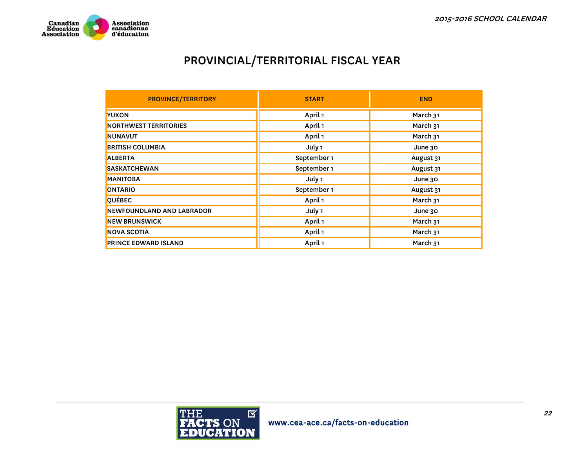

## PROVINCIAL/TERRITORIAL FISCAL YEAR

| <b>PROVINCE/TERRITORY</b>    | <b>START</b> | <b>END</b> |
|------------------------------|--------------|------------|
| <b>YUKON</b>                 | April 1      | March 31   |
| <b>NORTHWEST TERRITORIES</b> | April 1      | March 31   |
| <b>NUNAVUT</b>               | April 1      | March 31   |
| <b>BRITISH COLUMBIA</b>      | July 1       | June 30    |
| <b>ALBERTA</b>               | September 1  | August 31  |
| <b>SASKATCHEWAN</b>          | September 1  | August 31  |
| <b>MANITOBA</b>              | July 1       | June 30    |
| <b>ONTARIO</b>               | September 1  | August 31  |
| QUÉBEC                       | April 1      | March 31   |
| NEWFOUNDLAND AND LABRADOR    | July 1       | June 30    |
| <b>NEW BRUNSWICK</b>         | April 1      | March 31   |
| <b>NOVA SCOTIA</b>           | April 1      | March 31   |
| <b>PRINCE EDWARD ISLAND</b>  | April 1      | March 31   |

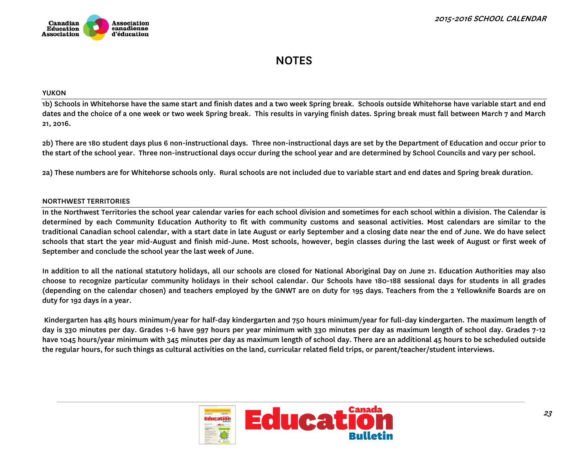

## **NOTES**

#### YUKON

1b) Schools in Whitehorse have the same start and finish dates and a two week Spring break. Schools outside Whitehorse have variable start and end dates and the choice of a one week or two week Spring break. This results in varying finish dates. Spring break must fall between March 7 and March 21, 2016.

2b) There are 180 student days plus 6 non-instructional days. Three non-instructional days are set by the Department of Education and occur prior to the start of the school year. Three non-instructional days occur during the school year and are determined by School Councils and vary per school.

2a) These numbers are for Whitehorse schools only. Rural schools are not included due to variable start and end dates and Spring break duration.

#### NORTHWEST TERRITORIES

In the Northwest Territories the school year calendar varies for each school division and sometimes for each school within a division. The Calendar is determined by each Community Education Authority to fit with community customs and seasonal activities. Most calendars are similar to the traditional Canadian school calendar, with a start date in late August or early September and a closing date near the end of June. We do have select schools that start the year mid-August and finish mid-June. Most schools, however, begin classes during the last week of August or first week of September and conclude the school year the last week of June.

In addition to all the national statutory holidays, all our schools are closed for National Aboriginal Day on June 21. Education Authorities may also choose to recognize particular community holidays in their school calendar. Our Schools have 180-188 sessional days for students in all grades (depending on the calendar chosen) and teachers employed by the GNWT are on duty for 195 days. Teachers from the 2 Yellowknife Boards are on duty for 192 days in a year.

 Kindergarten has 485 hours minimum/year for half-day kindergarten and 750 hours minimum/year for full-day kindergarten. The maximum length of day is 330 minutes per day. Grades 1-6 have 997 hours per year minimum with 330 minutes per day as maximum length of school day. Grades 7-12 have 1045 hours/year minimum with 345 minutes per day as maximum length of school day. There are an additional 45 hours to be scheduled outside the regular hours, for such things as cultural activities on the land, curricular related field trips, or parent/teacher/student interviews.

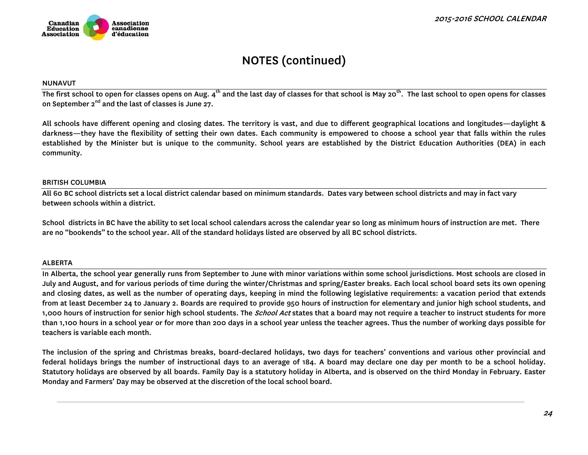#### NUNAVUT

The first school to open for classes opens on Aug.  $4^{\text{th}}$  and the last day of classes for that school is May 20<sup>th</sup>. The last school to open opens for classes on September  $2^{nd}$  and the last of classes is June 27.

All schools have different opening and closing dates. The territory is vast, and due to different geographical locations and longitudes—daylight & darkness—they have the flexibility of setting their own dates. Each community is empowered to choose a school year that falls within the rules established by the Minister but is unique to the community. School years are established by the District Education Authorities (DEA) in each community.

#### BRITISH COLUMBIA

All 60 BC school districts set a local district calendar based on minimum standards. Dates vary between school districts and may in fact vary between schools within a district.

School districts in BC have the ability to set local school calendars across the calendar year so long as minimum hours of instruction are met. There are no "bookends" to the school year. All of the standard holidays listed are observed by all BC school districts.

#### ALBERTA

In Alberta, the school year generally runs from September to June with minor variations within some school jurisdictions. Most schools are closed in July and August, and for various periods of time during the winter/Christmas and spring/Easter breaks. Each local school board sets its own opening and closing dates, as well as the number of operating days, keeping in mind the following legislative requirements: a vacation period that extends from at least December 24 to January 2. Boards are required to provide 950 hours of instruction for elementary and junior high school students, and 1,000 hours of instruction for senior high school students. The *School Act* states that a board may not require a teacher to instruct students for more than 1,100 hours in a school year or for more than 200 days in a school year unless the teacher agrees. Thus the number of working days possible for teachers is variable each month.

The inclusion of the spring and Christmas breaks, board-declared holidays, two days for teachers' conventions and various other provincial and federal holidays brings the number of instructional days to an average of 184. A board may declare one day per month to be a school holiday. Statutory holidays are observed by all boards. Family Day is a statutory holiday in Alberta, and is observed on the third Monday in February. Easter Monday and Farmers' Day may be observed at the discretion of the local school board.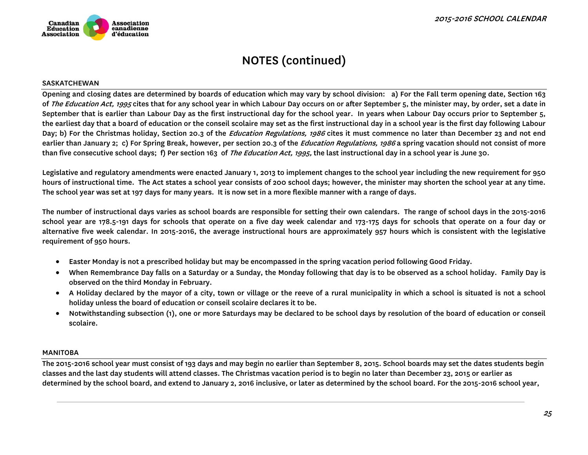

#### SASKATCHEWAN

Opening and closing dates are determined by boards of education which may vary by school division: a) For the Fall term opening date, Section 163 of *The Education Act, 1995* cites that for any school year in which Labour Day occurs on or after September 5, the minister may, by order, set a date in September that is earlier than Labour Day as the first instructional day for the school year. In years when Labour Day occurs prior to September 5, the earliest day that a board of education or the conseil scolaire may set as the first instructional day in a school year is the first day following Labour Day; b) For the Christmas holiday, Section 20.3 of the *Education Regulations, 1986* cites it must commence no later than December 23 and not end earlier than January 2; c) For Spring Break, however, per section 20.3 of the *Education Regulations, 1986* a spring vacation should not consist of more than five consecutive school days; f) Per section 163 of *The Education Act, 1995*, the last instructional day in a school year is June 30.

Legislative and regulatory amendments were enacted January 1, 2013 to implement changes to the school year including the new requirement for 950 hours of instructional time. The Act states a school year consists of 200 school days; however, the minister may shorten the school year at any time. The school year was set at 197 days for many years. It is now set in a more flexible manner with a range of days.

The number of instructional days varies as school boards are responsible for setting their own calendars. The range of school days in the 2015-2016 school year are 178.5-191 days for schools that operate on a five day week calendar and 173-175 days for schools that operate on a four day or alternative five week calendar. In 2015-2016, the average instructional hours are approximately 957 hours which is consistent with the legislative requirement of 950 hours.

- Easter Monday is not a prescribed holiday but may be encompassed in the spring vacation period following Good Friday.
- When Remembrance Day falls on a Saturday or a Sunday, the Monday following that day is to be observed as a school holiday. Family Day is observed on the third Monday in February.
- A Holiday declared by the mayor of a city, town or village or the reeve of a rural municipality in which a school is situated is not a school holiday unless the board of education or conseil scolaire declares it to be.
- $\bullet$  Notwithstanding subsection (1), one or more Saturdays may be declared to be school days by resolution of the board of education or conseil scolaire.

#### MANITOBA

The 2015-2016 school year must consist of 193 days and may begin no earlier than September 8, 2015. School boards may set the dates students begin classes and the last day students will attend classes. The Christmas vacation period is to begin no later than December 23, 2015 or earlier as determined by the school board, and extend to January 2, 2016 inclusive, or later as determined by the school board. For the 2015-2016 school year,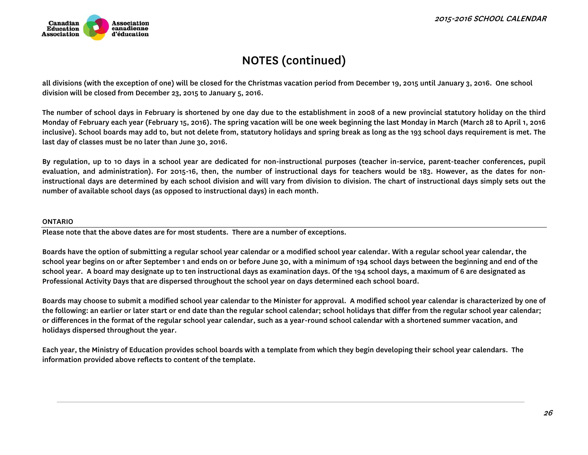

all divisions (with the exception of one) will be closed for the Christmas vacation period from December 19, 2015 until January 3, 2016. One school division will be closed from December 23, 2015 to January 5, 2016.

The number of school days in February is shortened by one day due to the establishment in 2008 of a new provincial statutory holiday on the third Monday of February each year (February 15, 2016). The spring vacation will be one week beginning the last Monday in March (March 28 to April 1, 2016 inclusive). School boards may add to, but not delete from, statutory holidays and spring break as long as the 193 school days requirement is met. The last day of classes must be no later than June 30, 2016.

By regulation, up to 10 days in a school year are dedicated for non-instructional purposes (teacher in-service, parent-teacher conferences, pupil evaluation, and administration). For 2015-16, then, the number of instructional days for teachers would be 183. However, as the dates for noninstructional days are determined by each school division and will vary from division to division. The chart of instructional days simply sets out the number of available school days (as opposed to instructional days) in each month.

#### ONTARIO

Please note that the above dates are for most students. There are a number of exceptions.

Boards have the option of submitting a regular school year calendar or a modified school year calendar. With a regular school year calendar, the school year begins on or after September 1 and ends on or before June 30, with a minimum of 194 school days between the beginning and end of the school year. A board may designate up to ten instructional days as examination days. Of the 194 school days, a maximum of 6 are designated as Professional Activity Days that are dispersed throughout the school year on days determined each school board.

Boards may choose to submit a modified school year calendar to the Minister for approval. A modified school year calendar is characterized by one of the following: an earlier or later start or end date than the regular school calendar; school holidays that differ from the regular school year calendar; or differences in the format of the regular school year calendar, such as a year-round school calendar with a shortened summer vacation, and holidays dispersed throughout the year.

Each year, the Ministry of Education provides school boards with a template from which they begin developing their school year calendars. The information provided above reflects to content of the template.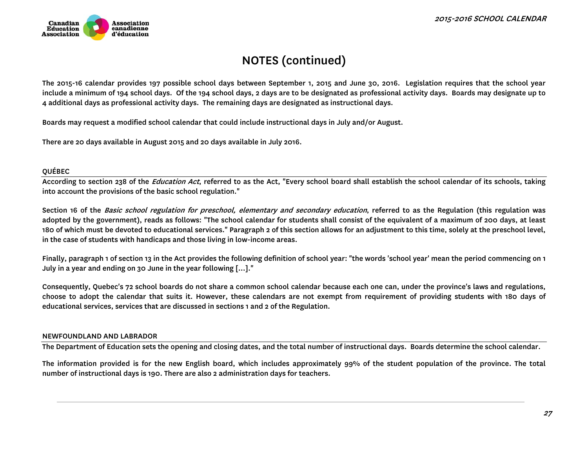

The 2015-16 calendar provides 197 possible school days between September 1, 2015 and June 30, 2016. Legislation requires that the school year include a minimum of 194 school days. Of the 194 school days, 2 days are to be designated as professional activity days. Boards may designate up to 4 additional days as professional activity days. The remaining days are designated as instructional days.

Boards may request a modified school calendar that could include instructional days in July and/or August.

There are 20 days available in August 2015 and 20 days available in July 2016.

#### QUÉBEC

According to section 238 of the *Education Act*, referred to as the Act, "Every school board shall establish the school calendar of its schools, taking into account the provisions of the basic school regulation."

Section 16 of the Basic school regulation for preschool, elementary and secondary education, referred to as the Regulation (this regulation was adopted by the government), reads as follows: "The school calendar for students shall consist of the equivalent of a maximum of 200 days, at least 180 of which must be devoted to educational services." Paragraph 2 of this section allows for an adjustment to this time, solely at the preschool level, in the case of students with handicaps and those living in low-income areas.

Finally, paragraph 1 of section 13 in the Act provides the following definition of school year: "the words 'school year' mean the period commencing on 1 July in a year and ending on 30 June in the year following [...]."

Consequently, Quebec's 72 school boards do not share a common school calendar because each one can, under the province's laws and regulations, choose to adopt the calendar that suits it. However, these calendars are not exempt from requirement of providing students with 180 days of educational services, services that are discussed in sections 1 and 2 of the Regulation.

#### NEWFOUNDLAND AND LABRADOR

The Department of Education sets the opening and closing dates, and the total number of instructional days. Boards determine the school calendar.

The information provided is for the new English board, which includes approximately 99% of the student population of the province. The total number of instructional days is 190. There are also 2 administration days for teachers.